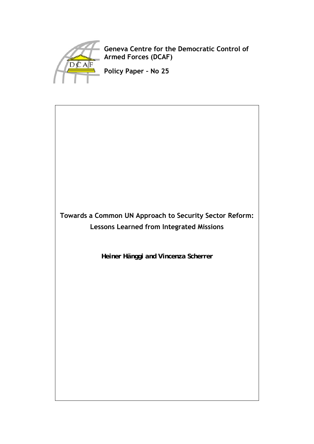

**Geneva Centre for the Democratic Control of Armed Forces (DCAF)**

**Policy Paper – No 25** 

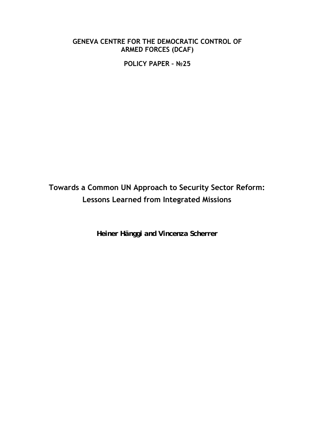# **GENEVA CENTRE FOR THE DEMOCRATIC CONTROL OF ARMED FORCES (DCAF)**

**POLICY PAPER – №25** 

# **Towards a Common UN Approach to Security Sector Reform: Lessons Learned from Integrated Missions**

*Heiner Hänggi and Vincenza Scherrer*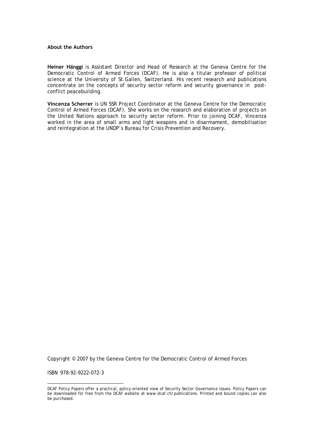#### **About the Authors**

**Heiner Hänggi** is Assistant Director and Head of Research at the Geneva Centre for the Democratic Control of Armed Forces (DCAF). He is also a titular professor of political science at the University of St.Gallen, Switzerland. His recent research and publications concentrate on the concepts of security sector reform and security governance in postconflict peacebuilding.

**Vincenza Scherrer** is UN SSR Project Coordinator at the Geneva Centre for the Democratic Control of Armed Forces (DCAF). She works on the research and elaboration of projects on the United Nations approach to security sector reform. Prior to joining DCAF, Vincenza worked in the area of small arms and light weapons and in disarmament, demobilisation and reintegration at the UNDP's Bureau for Crisis Prevention and Recovery.

Copyright © 2007 by the Geneva Centre for the Democratic Control of Armed Forces

ISBN 978-92-9222-072-3

1

DCAF Policy Papers offer a practical, policy-oriented view of Security Sector Governance issues. Policy Papers can be downloaded for free from the DCAF website at www.dcaf.ch/publications. Printed and bound copies can also be purchased.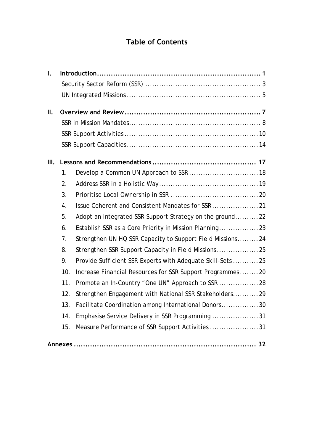# **Table of Contents**

| $\mathbf{I}$ . |     |                                                            |  |  |
|----------------|-----|------------------------------------------------------------|--|--|
|                |     |                                                            |  |  |
|                |     |                                                            |  |  |
| II.            |     |                                                            |  |  |
|                |     |                                                            |  |  |
|                |     |                                                            |  |  |
|                |     |                                                            |  |  |
| III.           |     |                                                            |  |  |
|                | 1.  | Develop a Common UN Approach to SSR  18                    |  |  |
|                | 2.  |                                                            |  |  |
|                | 3.  |                                                            |  |  |
|                | 4.  |                                                            |  |  |
|                | 5.  | Adopt an Integrated SSR Support Strategy on the ground22   |  |  |
|                | 6.  | Establish SSR as a Core Priority in Mission Planning23     |  |  |
|                | 7.  | Strengthen UN HQ SSR Capacity to Support Field Missions24  |  |  |
|                | 8.  | Strengthen SSR Support Capacity in Field Missions25        |  |  |
|                | 9.  | Provide Sufficient SSR Experts with Adequate Skill-Sets 25 |  |  |
|                | 10. | Increase Financial Resources for SSR Support Programmes20  |  |  |
|                | 11. | Promote an In-Country "One UN" Approach to SSR  28         |  |  |
|                | 12. | Strengthen Engagement with National SSR Stakeholders29     |  |  |
|                | 13. | Facilitate Coordination among International Donors30       |  |  |
|                | 14. | Emphasise Service Delivery in SSR Programming 31           |  |  |
|                | 15. | Measure Performance of SSR Support Activities 31           |  |  |
|                |     |                                                            |  |  |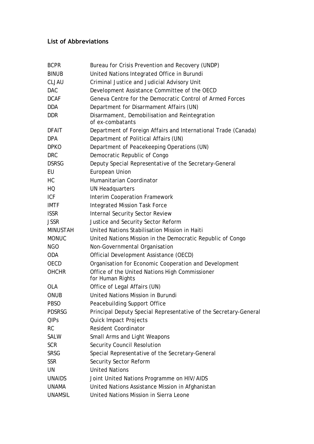# **List of Abbreviations**

| <b>BCPR</b>     | Bureau for Crisis Prevention and Recovery (UNDP)                   |
|-----------------|--------------------------------------------------------------------|
| <b>BINUB</b>    | United Nations Integrated Office in Burundi                        |
| <b>CLJAU</b>    | Criminal Justice and Judicial Advisory Unit                        |
| <b>DAC</b>      | Development Assistance Committee of the OECD                       |
| <b>DCAF</b>     | Geneva Centre for the Democratic Control of Armed Forces           |
| <b>DDA</b>      | Department for Disarmament Affairs (UN)                            |
| <b>DDR</b>      | Disarmament, Demobilisation and Reintegration<br>of ex-combatants  |
| <b>DFAIT</b>    | Department of Foreign Affairs and International Trade (Canada)     |
| <b>DPA</b>      | Department of Political Affairs (UN)                               |
| <b>DPKO</b>     | Department of Peacekeeping Operations (UN)                         |
| <b>DRC</b>      | Democratic Republic of Congo                                       |
| <b>DSRSG</b>    | Deputy Special Representative of the Secretary-General             |
| EU              | European Union                                                     |
| HC              | Humanitarian Coordinator                                           |
| HQ              | <b>UN Headquarters</b>                                             |
| <b>ICF</b>      | Interim Cooperation Framework                                      |
| <b>IMTF</b>     | <b>Integrated Mission Task Force</b>                               |
| <b>ISSR</b>     | Internal Security Sector Review                                    |
| <b>JSSR</b>     | Justice and Security Sector Reform                                 |
| <b>MINUSTAH</b> | United Nations Stabilisation Mission in Haiti                      |
| <b>MONUC</b>    | United Nations Mission in the Democratic Republic of Congo         |
| <b>NGO</b>      | Non-Governmental Organisation                                      |
| <b>ODA</b>      | Official Development Assistance (OECD)                             |
| <b>OECD</b>     | Organisation for Economic Cooperation and Development              |
| <b>OHCHR</b>    | Office of the United Nations High Commissioner<br>for Human Rights |
| <b>OLA</b>      | Office of Legal Affairs (UN)                                       |
| <b>ONUB</b>     | United Nations Mission in Burundi                                  |
| <b>PBSO</b>     | Peacebuilding Support Office                                       |
| <b>PDSRSG</b>   | Principal Deputy Special Representative of the Secretary-General   |
| QIPs            | Quick Impact Projects                                              |
| <b>RC</b>       | <b>Resident Coordinator</b>                                        |
| <b>SALW</b>     | Small Arms and Light Weapons                                       |
| <b>SCR</b>      | <b>Security Council Resolution</b>                                 |
| <b>SRSG</b>     | Special Representative of the Secretary-General                    |
| <b>SSR</b>      | Security Sector Reform                                             |
| UN              | <b>United Nations</b>                                              |
| <b>UNAIDS</b>   | Joint United Nations Programme on HIV/AIDS                         |
| <b>UNAMA</b>    | United Nations Assistance Mission in Afghanistan                   |
| <b>UNAMSIL</b>  | United Nations Mission in Sierra Leone                             |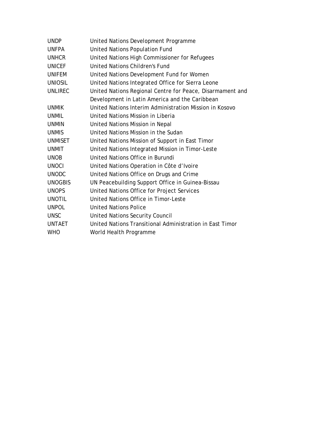| <b>UNDP</b>    | United Nations Development Programme                      |
|----------------|-----------------------------------------------------------|
| <b>UNFPA</b>   | United Nations Population Fund                            |
| <b>UNHCR</b>   | United Nations High Commissioner for Refugees             |
| <b>UNICEF</b>  | United Nations Children's Fund                            |
| <b>UNIFEM</b>  | United Nations Development Fund for Women                 |
| <b>UNIOSIL</b> | United Nations Integrated Office for Sierra Leone         |
| <b>UNLIREC</b> | United Nations Regional Centre for Peace, Disarmament and |
|                | Development in Latin America and the Caribbean            |
| <b>UNMIK</b>   | United Nations Interim Administration Mission in Kosovo   |
| <b>UNMIL</b>   | United Nations Mission in Liberia                         |
| <b>UNMIN</b>   | United Nations Mission in Nepal                           |
| <b>UNMIS</b>   | United Nations Mission in the Sudan                       |
| <b>UNMISET</b> | United Nations Mission of Support in East Timor           |
| <b>UNMIT</b>   | United Nations Integrated Mission in Timor-Leste          |
| <b>UNOB</b>    | United Nations Office in Burundi                          |
| <b>UNOCI</b>   | United Nations Operation in Côte d'Ivoire                 |
| <b>UNODC</b>   | United Nations Office on Drugs and Crime                  |
| <b>UNOGBIS</b> | UN Peacebuilding Support Office in Guinea-Bissau          |
| <b>UNOPS</b>   | United Nations Office for Project Services                |
| <b>UNOTIL</b>  | United Nations Office in Timor-Leste                      |
| <b>UNPOL</b>   | United Nations Police                                     |
| <b>UNSC</b>    | United Nations Security Council                           |
| <b>UNTAET</b>  | United Nations Transitional Administration in East Timor  |
| <b>WHO</b>     | World Health Programme                                    |
|                |                                                           |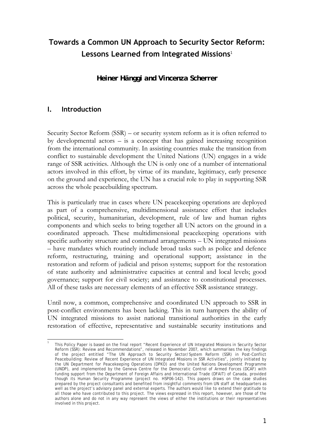# **Towards a Common UN Approach to Security Sector Reform: Lessons Learned from Integrated Missions**<sup>1</sup>

*Heiner Hänggi and Vincenza Scherrer* 

## **I. Introduction**

Security Sector Reform (SSR) – or security system reform as it is often referred to by developmental actors  $-$  is a concept that has gained increasing recognition from the international community. In assisting countries make the transition from conflict to sustainable development the United Nations (UN) engages in a wide range of SSR activities. Although the UN is only one of a number of international actors involved in this effort, by virtue of its mandate, legitimacy, early presence on the ground and experience, the UN has a crucial role to play in supporting SSR across the whole peacebuilding spectrum.

This is particularly true in cases where UN peacekeeping operations are deployed as part of a comprehensive, multidimensional assistance effort that includes political, security, humanitarian, development, rule of law and human rights components and which seeks to bring together all UN actors on the ground in a coordinated approach. These multidimensional peacekeeping operations with specific authority structure and command arrangements – UN integrated missions – have mandates which routinely include broad tasks such as police and defence reform, restructuring, training and operational support; assistance in the restoration and reform of judicial and prison systems; support for the restoration of state authority and administrative capacities at central and local levels; good governance; support for civil society; and assistance to constitutional processes. All of these tasks are necessary elements of an effective SSR assistance strategy.

Until now, a common, comprehensive and coordinated UN approach to SSR in post-conflict environments has been lacking. This in turn hampers the ability of UN integrated missions to assist national transitional authorities in the early restoration of effective, representative and sustainable security institutions and

 $\frac{1}{4}$ 1 This Policy Paper is based on the final report "Recent Experience of UN Integrated Missions in Security Sector Reform (SSR): Review and Recommendations", released in November 2007, which summarises the key findings of the project entitled "The UN Approach to Security Sector/System Reform (SSR) in Post-Conflict Peacebuilding: Review of Recent Experience of UN Integrated Missions in SSR Activities", jointly initiated by the UN Department for Peacekeeping Operations (DPKO) and the United Nations Development Programme (UNDP), and implemented by the Geneva Centre for the Democratic Control of Armed Forces (DCAF) with funding support from the Department of Foreign Affairs and International Trade (DFAIT) of Canada, provided though its Human Security Programme (project no. HSP06-142). This papers draws on the case studies prepared by the project consultants and benefited from insightful comments from UN staff at headquarters as well as the project's advisory panel and external experts. The authors would like to extend their gratitude to all those who have contributed to this project. The views expressed in this report, however, are those of the authors alone and do not in any way represent the views of either the institutions or their representatives involved in this project.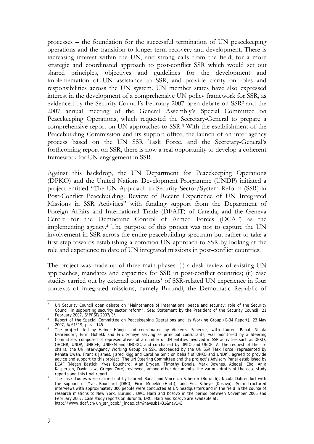processes – the foundation for the successful termination of UN peacekeeping operations and the transition to longer-term recovery and development. There is increasing interest within the UN, and strong calls from the field, for a more strategic and coordinated approach to post-conflict SSR which would set out shared principles, objectives and guidelines for the development and implementation of UN assistance to SSR, and provide clarity on roles and responsibilities across the UN system. UN member states have also expressed interest in the development of a comprehensive UN policy framework for SSR, as evidenced by the Security Council's February 2007 open debate on SSR2 and the 2007 annual meeting of the General Assembly's Special Committee on Peacekeeping Operations, which requested the Secretary-General to prepare a comprehensive report on UN approaches to SSR.3 With the establishment of the Peacebuilding Commission and its support office, the launch of an inter-agency process based on the UN SSR Task Force, and the Secretary-General's forthcoming report on SSR, there is now a real opportunity to develop a coherent framework for UN engagement in SSR.

Against this backdrop, the UN Department for Peacekeeping Operations (DPKO) and the United Nations Development Programme (UNDP) initiated a project entitled "The UN Approach to Security Sector/System Reform (SSR) in Post-Conflict Peacebuilding: Review of Recent Experience of UN Integrated Missions in SSR Activities" with funding support from the Department of Foreign Affairs and International Trade (DFAIT) of Canada, and the Geneva Centre for the Democratic Control of Armed Forces (DCAF) as the implementing agency.4 The purpose of this project was not to capture the UN involvement in SSR across the entire peacebuilding spectrum but rather to take a first step towards establishing a common UN approach to SSR by looking at the role and experience to date of UN integrated missions in post-conflict countries.

The project was made up of three main phases: (i) a desk review of existing UN approaches, mandates and capacities for SSR in post-conflict countries; (ii) case studies carried out by external consultants<sup>5</sup> of SSR-related UN experience in four contexts of integrated missions, namely Burundi, the Democratic Republic of

 2 UN Security Council open debate on "Maintenance of international peace and security: role of the Security Council in supporting security sector reform". See: Statement by the President of the Security Council, 21

February 2007, S/PRST/2007/3\*.<br><sup>3</sup> Report of the Special Committee on Peacekeeping Operations and its Working Group (C-34 Report), 23 May

<sup>2007,</sup> A/61/19, para. 145. 4 The project, led by Heiner Hänggi and coordinated by Vincenza Scherrer, with Laurent Banal, Nicola Dahrendorf, Eirin Mobekk and Eric Scheye serving as principal consultants, was monitored by a Steering Committee, composed of representatives of a number of UN entities involved in SSR activities such as DPKO, OHCHR, UNDP, UNICEF, UNIFEM and UNODC, and co-chaired by DPKO and UNDP. At the request of the cochairs, the UN Inter-Agency Working Group on SSR, succeeded by the UN SSR Task Force (represented by Renata Dwan, Francis James, Jared Rigg and Caroline Smit on behalf of DPKO and UNDP), agreed to provide advice and support to this project. The UN Steering Committee and the project's Advisory Panel established by DCAF (Megan Bastick, Yves Bouchard, Alan Bryden, Timothy Donais, Mark Downes, Adedeji Ebo, Anja Kaspersen, David Law, Gregor Zore) reviewed, among other documents, the various drafts of the case study

reports and this final report. 5 The case studies were carried out by Laurent Banal and Vincenza Scherrer (Burundi), Nicola Dahrendorf with the support of Yves Bouchard (DRC), Eirin Mobekk (Haiti), and Eric Scheye (Kosovo). Semi-structured interviews with approximately 300 people were conducted at UN headquarters and in the field in the course of research missions to New York, Burundi, DRC, Haiti and Kosovo in the period between November 2006 and February 2007. Case study reports on Burundi, DRC, Haiti and Kosovo are available at: http://www.dcaf.ch/un\_ssr\_pcpb/\_index.cfm?navsub1=31&nav1=3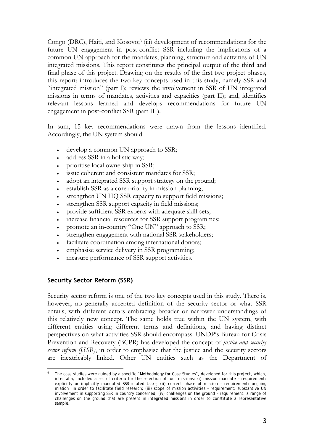Congo (DRC), Haiti, and Kosovo;<sup>6</sup> (iii) development of recommendations for the future UN engagement in post-conflict SSR including the implications of a common UN approach for the mandates, planning, structure and activities of UN integrated missions. This report constitutes the principal output of the third and final phase of this project. Drawing on the results of the first two project phases, this report: introduces the two key concepts used in this study, namely SSR and "integrated mission" (part I); reviews the involvement in SSR of UN integrated missions in terms of mandates, activities and capacities (part II); and, identifies relevant lessons learned and develops recommendations for future UN engagement in post-conflict SSR (part III).

In sum, 15 key recommendations were drawn from the lessons identified. Accordingly, the UN system should:

- develop a common UN approach to SSR;
- address SSR in a holistic way;
- prioritise local ownership in SSR;
- issue coherent and consistent mandates for SSR;
- adopt an integrated SSR support strategy on the ground;
- establish SSR as a core priority in mission planning;
- strengthen UN HQ SSR capacity to support field missions;
- strengthen SSR support capacity in field missions;
- provide sufficient SSR experts with adequate skill-sets;
- increase financial resources for SSR support programmes;
- promote an in-country "One UN" approach to SSR;
- strengthen engagement with national SSR stakeholders;
- facilitate coordination among international donors;
- emphasise service delivery in SSR programming;
- measure performance of SSR support activities.

## **Security Sector Reform (SSR)**

Security sector reform is one of the two key concepts used in this study. There is, however, no generally accepted definition of the security sector or what SSR entails, with different actors embracing broader or narrower understandings of this relatively new concept. The same holds true within the UN system, with different entities using different terms and definitions, and having distinct perspectives on what activities SSR should encompass. UNDP's Bureau for Crisis Prevention and Recovery (BCPR) has developed the concept of *justice and security sector reform (JSSR)*, in order to emphasise that the justice and the security sectors are inextricably linked. Other UN entities such as the Department of

<sup>&</sup>lt;u>.</u> 6 The case studies were guided by a specific "Methodology for Case Studies", developed for this project, which, inter alia, included a set of criteria for the selection of four missions: (i) mission mandate – requirement: explicitly or implicitly mandated SSR-related tasks; (ii) current phase of mission – requirement: ongoing mission in order to facilitate field research; (iii) scope of mission activities – requirement: substantive UN involvement in supporting SSR in country concerned; (iv) challenges on the ground – requirement: a range of challenges on the ground that are present in integrated missions in order to constitute a representative sample.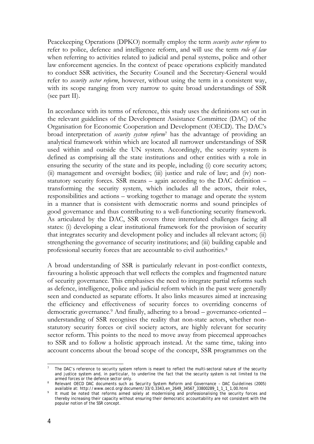Peacekeeping Operations (DPKO) normally employ the term *security sector reform* to refer to police, defence and intelligence reform, and will use the term *rule of law* when referring to activities related to judicial and penal systems, police and other law enforcement agencies. In the context of peace operations explicitly mandated to conduct SSR activities, the Security Council and the Secretary-General would refer to *security sector reform*, however, without using the term in a consistent way, with its scope ranging from very narrow to quite broad understandings of SSR (see part II).

In accordance with its terms of reference, this study uses the definitions set out in the relevant guidelines of the Development Assistance Committee (DAC) of the Organisation for Economic Cooperation and Development (OECD). The DAC's broad interpretation of *security system reform*7 has the advantage of providing an analytical framework within which are located all narrower understandings of SSR used within and outside the UN system. Accordingly, the security system is defined as comprising all the state institutions and other entities with a role in ensuring the security of the state and its people, including (i) core security actors; (ii) management and oversight bodies; (iii) justice and rule of law; and (iv) nonstatutory security forces. SSR means – again according to the DAC definition – transforming the security system, which includes all the actors, their roles, responsibilities and actions – working together to manage and operate the system in a manner that is consistent with democratic norms and sound principles of good governance and thus contributing to a well-functioning security framework. As articulated by the DAC, SSR covers three interrelated challenges facing all states: (i) developing a clear institutional framework for the provision of security that integrates security and development policy and includes all relevant actors; (ii) strengthening the governance of security institutions; and (iii) building capable and professional security forces that are accountable to civil authorities.8

A broad understanding of SSR is particularly relevant in post-conflict contexts, favouring a holistic approach that well reflects the complex and fragmented nature of security governance. This emphasises the need to integrate partial reforms such as defence, intelligence, police and judicial reform which in the past were generally seen and conducted as separate efforts. It also links measures aimed at increasing the efficiency and effectiveness of security forces to overriding concerns of democratic governance.9 And finally, adhering to a broad – governance-oriented – understanding of SSR recognises the reality that non-state actors, whether nonstatutory security forces or civil society actors, are highly relevant for security sector reform. This points to the need to move away from piecemeal approaches to SSR and to follow a holistic approach instead. At the same time, taking into account concerns about the broad scope of the concept, SSR programmes on the

 $\frac{1}{7}$  The DAC's reference to security *system* reform is meant to reflect the multi-sectoral nature of the security and justice system and, in particular, to underline the fact that the security system is not limited to the armed forces or the defence sector only.

armed forces or the defence *sector* only. 8 Relevant OECD DAC documents such as *Security System Reform and Governance – DAC Guidelines* (2005) available at: http://www.oecd.org/document/33/0,3343,en\_2649\_34567\_33800289\_1\_1\_1\_1,00.html 9

It must be noted that reforms aimed solely at modernising and professionalising the security forces and thereby increasing their capacity without ensuring their democratic accountability are not consistent with the popular notion of the SSR concept.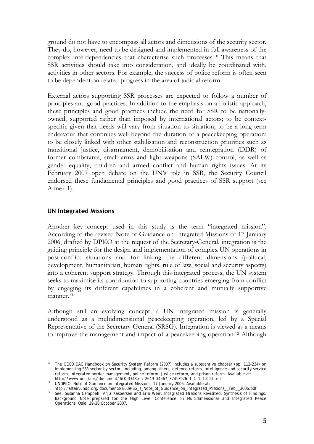ground do not have to encompass all actors and dimensions of the security sector. They do, however, need to be designed and implemented in full awareness of the complex interdependencies that characterise such processes.10 This means that SSR activities should take into consideration, and ideally be coordinated with, activities in other sectors. For example, the success of police reform is often seen to be dependent on related progress in the area of judicial reform.

External actors supporting SSR processes are expected to follow a number of principles and good practices. In addition to the emphasis on a holistic approach, these principles and good practices include the need for SSR to be nationallyowned, supported rather than imposed by international actors; to be contextspecific given that needs will vary from situation to situation; to be a long-term endeavour that continues well beyond the duration of a peacekeeping operation; to be closely linked with other stabilisation and reconstruction priorities such as transitional justice, disarmament, demobilisation and reintegration (DDR) of former combatants, small arms and light weapons (SALW) control, as well as gender equality, children and armed conflict and human rights issues. At its February 2007 open debate on the UN's role in SSR, the Security Council endorsed these fundamental principles and good practices of SSR support (see Annex 1).

## **UN Integrated Missions**

Another key concept used in this study is the term "integrated mission". According to the revised Note of Guidance on Integrated Missions of 17 January 2006, drafted by DPKO at the request of the Secretary-General, integration is the guiding principle for the design and implementation of complex UN operations in post-conflict situations and for linking the different dimensions (political, development, humanitarian, human rights, rule of law, social and security aspects) into a coherent support strategy. Through this integrated process, the UN system seeks to maximise its contribution to supporting countries emerging from conflict by engaging its different capabilities in a coherent and mutually supportive manner.<sup>11</sup>

Although still an evolving concept, a UN integrated mission is generally understood as a multidimensional peacekeeping operation, led by a Special Representative of the Secretary-General (SRSG). Integration is viewed as a means to improve the management and impact of a peacekeeping operation.12 Although

<sup>1</sup> 10 The *OECD DAC Handbook on Security System Reform* (2007) includes a substantive chapter (pp. 112-234) on implementing SSR sector by sector, including, among others, defence reform, intelligence and security service reform, integrated border management, police reform, justice reform, and prison reform. Available at: http://www.oecd.org/document/6/0,3343,en\_2649\_34567\_37417926\_1\_1\_1\_1,00.html

<sup>11</sup> UNDPKO, *Note of Guidance on Integrated Missions*, 17 January 2006. Available at:

http://altair.undp.org/documents/8039-SG\_s\_Note\_of\_Guidance\_on\_Integrated\_Missions\_\_Feb\_\_2006.pdf 12 See: Susanna Campbell, Anja Kaspersen and Erin Weir, *Integrated Missions Revisited: Synthesis of Findings*, Background Note prepared for the High Level Conference on Multidimensional and Integrated Peace Operations, Oslo, 29-30 October 2007.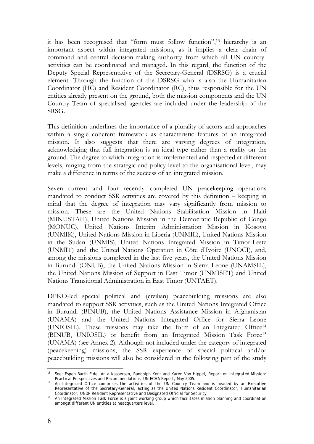it has been recognised that "form must follow function",13 hierarchy is an important aspect within integrated missions, as it implies a clear chain of command and central decision-making authority from which all UN countryactivities can be coordinated and managed. In this regard, the function of the Deputy Special Representative of the Secretary-General (DSRSG) is a crucial element. Through the function of the DSRSG who is also the Humanitarian Coordinator (HC) and Resident Coordinator (RC), thus responsible for the UN entities already present on the ground, both the mission components and the UN Country Team of specialised agencies are included under the leadership of the SRSG.

This definition underlines the importance of a plurality of actors and approaches within a single coherent framework as characteristic features of an integrated mission. It also suggests that there are varying degrees of integration, acknowledging that full integration is an ideal type rather than a reality on the ground. The degree to which integration is implemented and respected at different levels, ranging from the strategic and policy level to the organisational level, may make a difference in terms of the success of an integrated mission.

Seven current and four recently completed UN peacekeeping operations mandated to conduct SSR activities are covered by this definition – keeping in mind that the degree of integration may vary significantly from mission to mission. These are the United Nations Stabilisation Mission in Haiti (MINUSTAH), United Nations Mission in the Democratic Republic of Congo (MONUC), United Nations Interim Administration Mission in Kosovo (UNMIK), United Nations Mission in Liberia (UNMIL), United Nations Mission in the Sudan (UNMIS), United Nations Integrated Mission in Timor-Leste (UNMIT) and the United Nations Operation in Côte d'Ivoire (UNOCI), and, among the missions completed in the last five years, the United Nations Mission in Burundi (ONUB), the United Nations Mission in Sierra Leone (UNAMSIL), the United Nations Mission of Support in East Timor (UNMISET) and United Nations Transitional Administration in East Timor (UNTAET).

DPKO-led special political and (civilian) peacebuilding missions are also mandated to support SSR activities, such as the United Nations Integrated Office in Burundi (BINUB), the United Nations Assistance Mission in Afghanistan (UNAMA) and the United Nations Integrated Office for Sierra Leone (UNIOSIL). These missions may take the form of an Integrated Office14 (BINUB, UNIOSIL) or benefit from an Integrated Mission Task Force15 (UNAMA) (see Annex 2). Although not included under the category of integrated (peacekeeping) missions, the SSR experience of special political and/or peacebuilding missions will also be considered in the following part of the study

<sup>&</sup>lt;u>.</u> 13 See: Espen Barth Eide, Anja Kaspersen, Randolph Kent and Karen Von Hippel, *Report on Integrated Mission:* 

*Practical Perspectives and Recommendations*, UN ECHA Report, May 2005. 14 An Integrated Office comprises the activities of the UN Country Team and is headed by an Executive Representative of the Secretary-General, acting as the United Nations Resident Coordinator, Humanitarian Coordinator, UNDP Resident Representative and Designated Official for Security.

Coordinator, UNDP Resident Representative and Designated Official for Security. 15 An Integrated Mission Task Force is a joint working group which facilitates mission planning and coordination amongst different UN entities at headquarters level.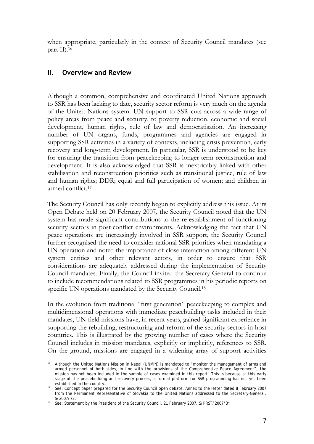when appropriate, particularly in the context of Security Council mandates (see part II).16

## **II. Overview and Review**

Although a common, comprehensive and coordinated United Nations approach to SSR has been lacking to date, security sector reform is very much on the agenda of the United Nations system. UN support to SSR cuts across a wide range of policy areas from peace and security, to poverty reduction, economic and social development, human rights, rule of law and democratisation. An increasing number of UN organs, funds, programmes and agencies are engaged in supporting SSR activities in a variety of contexts, including crisis prevention, early recovery and long-term development. In particular, SSR is understood to be key for ensuring the transition from peacekeeping to longer-term reconstruction and development. It is also acknowledged that SSR is inextricably linked with other stabilisation and reconstruction priorities such as transitional justice, rule of law and human rights; DDR; equal and full participation of women; and children in armed conflict.17

The Security Council has only recently begun to explicitly address this issue. At its Open Debate held on 20 February 2007, the Security Council noted that the UN system has made significant contributions to the re-establishment of functioning security sectors in post-conflict environments. Acknowledging the fact that UN peace operations are increasingly involved in SSR support, the Security Council further recognised the need to consider national SSR priorities when mandating a UN operation and noted the importance of close interaction among different UN system entities and other relevant actors, in order to ensure that SSR considerations are adequately addressed during the implementation of Security Council mandates. Finally, the Council invited the Secretary-General to continue to include recommendations related to SSR programmes in his periodic reports on specific UN operations mandated by the Security Council.<sup>18</sup>

In the evolution from traditional "first generation" peacekeeping to complex and multidimensional operations with immediate peacebuilding tasks included in their mandates, UN field missions have, in recent years, gained significant experience in supporting the rebuilding, restructuring and reform of the security sectors in host countries. This is illustrated by the growing number of cases where the Security Council includes in mission mandates, explicitly or implicitly, references to SSR. On the ground, missions are engaged in a widening array of support activities

<sup>1</sup> Although the United Nations Mission in Nepal (UNMIN) is mandated to "monitor the management of arms and armed personnel of both sides, in line with the provisions of the Comprehensive Peace Agreement", the mission has not been included in the sample of cases examined in this report. This is because at this early stage of the peacebuilding and recovery process, a formal platform for SSR programming has not yet been established in the country.

<sup>17</sup> See: Concept paper prepared for the Security Council open debate, Annex to the letter dated 8 February 2007 from the Permanent Representative of Slovakia to the United Nations addressed to the Secretary-General,

<sup>&</sup>lt;sup>18</sup> See: Statement by the President of the Security Council, 21 February 2007, S/PRST/2007/3\*.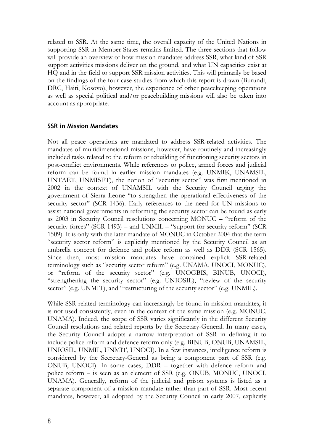related to SSR. At the same time, the overall capacity of the United Nations in supporting SSR in Member States remains limited. The three sections that follow will provide an overview of how mission mandates address SSR, what kind of SSR support activities missions deliver on the ground, and what UN capacities exist at HQ and in the field to support SSR mission activities. This will primarily be based on the findings of the four case studies from which this report is drawn (Burundi, DRC, Haiti, Kosovo), however, the experience of other peacekeeping operations as well as special political and/or peacebuilding missions will also be taken into account as appropriate.

#### **SSR in Mission Mandates**

Not all peace operations are mandated to address SSR-related activities. The mandates of multidimensional missions, however, have routinely and increasingly included tasks related to the reform or rebuilding of functioning security sectors in post-conflict environments. While references to police, armed forces and judicial reform can be found in earlier mission mandates (e.g. UNMIK, UNAMSIL, UNTAET, UNMISET), the notion of "security sector" was first mentioned in 2002 in the context of UNAMSIL with the Security Council urging the government of Sierra Leone "to strengthen the operational effectiveness of the security sector" (SCR 1436). Early references to the need for UN missions to assist national governments in reforming the security sector can be found as early as 2003 in Security Council resolutions concerning MONUC – "reform of the security forces" (SCR 1493) – and UNMIL – "support for security reform" (SCR 1509). It is only with the later mandate of MONUC in October 2004 that the term "security sector reform" is explicitly mentioned by the Security Council as an umbrella concept for defence and police reform as well as DDR (SCR 1565). Since then, most mission mandates have contained explicit SSR-related terminology such as "security sector reform" (e.g. UNAMA, UNOCI, MONUC), or "reform of the security sector" (e.g. UNOGBIS, BINUB, UNOCI), "strengthening the security sector" (e.g. UNIOSIL), "review of the security sector" (e.g. UNMIT), and "restructuring of the security sector" (e.g. UNMIL).

While SSR-related terminology can increasingly be found in mission mandates, it is not used consistently, even in the context of the same mission (e.g. MONUC, UNAMA). Indeed, the scope of SSR varies significantly in the different Security Council resolutions and related reports by the Secretary-General. In many cases, the Security Council adopts a narrow interpretation of SSR in defining it to include police reform and defence reform only (e.g. BINUB, ONUB, UNAMSIL, UNIOSIL, UNMIL, UNMIT, UNOCI). In a few instances, intelligence reform is considered by the Secretary-General as being a component part of SSR (e.g. ONUB, UNOCI). In some cases, DDR – together with defence reform and police reform – is seen as an element of SSR (e.g. ONUB, MONUC, UNOCI, UNAMA). Generally, reform of the judicial and prison systems is listed as a separate component of a mission mandate rather than part of SSR. Most recent mandates, however, all adopted by the Security Council in early 2007, explicitly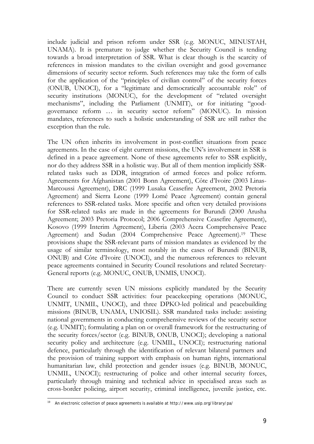include judicial and prison reform under SSR (e.g. MONUC, MINUSTAH, UNAMA). It is premature to judge whether the Security Council is tending towards a broad interpretation of SSR. What is clear though is the scarcity of references in mission mandates to the civilian oversight and good governance dimensions of security sector reform. Such references may take the form of calls for the application of the "principles of civilian control" of the security forces (ONUB, UNOCI), for a "legitimate and democratically accountable role" of security institutions (MONUC), for the development of "related oversight mechanisms", including the Parliament (UNMIT), or for initiating "goodgovernance reform … in security sector reform" (MONUC). In mission mandates, references to such a holistic understanding of SSR are still rather the exception than the rule.

The UN often inherits its involvement in post-conflict situations from peace agreements. In the case of eight current missions, the UN's involvement in SSR is defined in a peace agreement. None of these agreements refer to SSR explicitly, nor do they address SSR in a holistic way. But all of them mention implicitly SSRrelated tasks such as DDR, integration of armed forces and police reform. Agreements for Afghanistan (2001 Bonn Agreement), Côte d'Ivoire (2003 Linas-Marcoussi Agreement), DRC (1999 Lusaka Ceasefire Agreement, 2002 Pretoria Agreement) and Sierra Leone (1999 Lomé Peace Agreement) contain general references to SSR-related tasks. More specific and often very detailed provisions for SSR-related tasks are made in the agreements for Burundi (2000 Arusha Agreement; 2003 Pretoria Protocol; 2006 Comprehensive Ceasefire Agreement), Kosovo (1999 Interim Agreement), Liberia (2003 Accra Comprehensive Peace Agreement) and Sudan (2004 Comprehensive Peace Agreement).19 These provisions shape the SSR-relevant parts of mission mandates as evidenced by the usage of similar terminology, most notably in the cases of Burundi (BINUB, ONUB) and Côte d'Ivoire (UNOCI), and the numerous references to relevant peace agreements contained in Security Council resolutions and related Secretary-General reports (e.g. MONUC, ONUB, UNMIS, UNOCI).

There are currently seven UN missions explicitly mandated by the Security Council to conduct SSR activities: four peacekeeping operations (MONUC, UNMIT, UNMIL, UNOCI), and three DPKO-led political and peacebuilding missions (BINUB, UNAMA, UNIOSIL). SSR mandated tasks include: assisting national governments in conducting comprehensive reviews of the security sector (e.g. UNMIT); formulating a plan on or overall framework for the restructuring of the security forces/sector (e.g. BINUB, ONUB, UNOCI); developing a national security policy and architecture (e.g. UNMIL, UNOCI); restructuring national defence, particularly through the identification of relevant bilateral partners and the provision of training support with emphasis on human rights, international humanitarian law, child protection and gender issues (e.g. BINUB, MONUC, UNMIL, UNOCI); restructuring of police and other internal security forces, particularly through training and technical advice in specialised areas such as cross-border policing, airport security, criminal intelligence, juvenile justice, etc.

<sup>1</sup> 19 An electronic collection of peace agreements is available at http://www.usip.org/library/pa/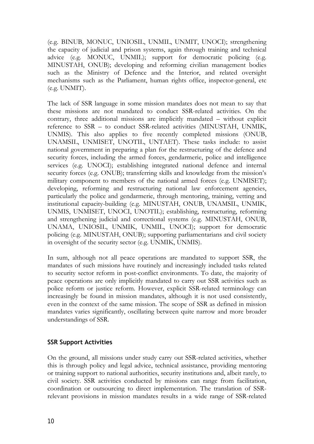(e.g. BINUB, MONUC, UNIOSIL, UNMIL, UNMIT, UNOCI); strengthening the capacity of judicial and prison systems, again through training and technical advice (e.g. MONUC, UNMIL); support for democratic policing (e.g. MINUSTAH, ONUB); developing and reforming civilian management bodies such as the Ministry of Defence and the Interior, and related oversight mechanisms such as the Parliament, human rights office, inspector-general, etc (e.g. UNMIT).

The lack of SSR language in some mission mandates does not mean to say that these missions are not mandated to conduct SSR-related activities. On the contrary, three additional missions are implicitly mandated – without explicit reference to SSR – to conduct SSR-related activities (MINUSTAH, UNMIK, UNMIS). This also applies to five recently completed missions (ONUB, UNAMSIL, UNMISET, UNOTIL, UNTAET). These tasks include: to assist national government in preparing a plan for the restructuring of the defence and security forces, including the armed forces, gendarmerie, police and intelligence services (e.g. UNOCI); establishing integrated national defence and internal security forces (e.g. ONUB); transferring skills and knowledge from the mission's military component to members of the national armed forces (e.g. UNMISET); developing, reforming and restructuring national law enforcement agencies, particularly the police and gendarmerie, through mentoring, training, vetting and institutional capacity-building (e.g. MINUSTAH, ONUB, UNAMSIL, UNMIK, UNMIS, UNMISET, UNOCI, UNOTIL); establishing, restructuring, reforming and strengthening judicial and correctional systems (e.g. MINUSTAH, ONUB, UNAMA, UNIOSIL, UNMIK, UNMIL, UNOCI); support for democratic policing (e.g. MINUSTAH, ONUB); supporting parliamentarians and civil society in oversight of the security sector (e.g. UNMIK, UNMIS).

In sum, although not all peace operations are mandated to support SSR, the mandates of such missions have routinely and increasingly included tasks related to security sector reform in post-conflict environments. To date, the majority of peace operations are only implicitly mandated to carry out SSR activities such as police reform or justice reform. However, explicit SSR-related terminology can increasingly be found in mission mandates, although it is not used consistently, even in the context of the same mission. The scope of SSR as defined in mission mandates varies significantly, oscillating between quite narrow and more broader understandings of SSR.

## **SSR Support Activities**

On the ground, all missions under study carry out SSR-related activities, whether this is through policy and legal advice, technical assistance, providing mentoring or training support to national authorities, security institutions and, albeit rarely, to civil society. SSR activities conducted by missions can range from facilitation, coordination or outsourcing to direct implementation. The translation of SSRrelevant provisions in mission mandates results in a wide range of SSR-related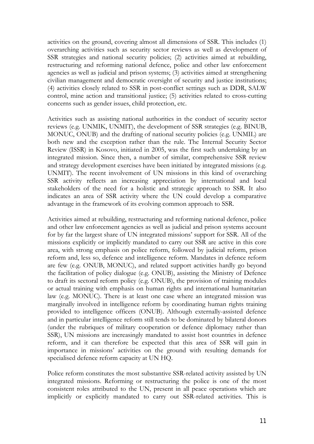activities on the ground, covering almost all dimensions of SSR. This includes (1) overarching activities such as security sector reviews as well as development of SSR strategies and national security policies; (2) activities aimed at rebuilding, restructuring and reforming national defence, police and other law enforcement agencies as well as judicial and prison systems; (3) activities aimed at strengthening civilian management and democratic oversight of security and justice institutions; (4) activities closely related to SSR in post-conflict settings such as DDR, SALW control, mine action and transitional justice; (5) activities related to cross-cutting concerns such as gender issues, child protection, etc.

Activities such as assisting national authorities in the conduct of security sector reviews (e.g. UNMIK, UNMIT), the development of SSR strategies (e.g. BINUB, MONUC, ONUB) and the drafting of national security policies (e.g. UNMIL) are both new and the exception rather than the rule. The Internal Security Sector Review (ISSR) in Kosovo, initiated in 2005, was the first such undertaking by an integrated mission. Since then, a number of similar, comprehensive SSR review and strategy development exercises have been initiated by integrated missions (e.g. UNMIT). The recent involvement of UN missions in this kind of overarching SSR activity reflects an increasing appreciation by international and local stakeholders of the need for a holistic and strategic approach to SSR. It also indicates an area of SSR activity where the UN could develop a comparative advantage in the framework of its evolving common approach to SSR.

Activities aimed at rebuilding, restructuring and reforming national defence, police and other law enforcement agencies as well as judicial and prison systems account for by far the largest share of UN integrated missions' support for SSR. All of the missions explicitly or implicitly mandated to carry out SSR are active in this core area, with strong emphasis on police reform, followed by judicial reform, prison reform and, less so, defence and intelligence reform. Mandates in defence reform are few (e.g. ONUB, MONUC), and related support activities hardly go beyond the facilitation of policy dialogue (e.g. ONUB), assisting the Ministry of Defence to draft its sectoral reform policy (e.g. ONUB), the provision of training modules or actual training with emphasis on human rights and international humanitarian law (e.g. MONUC). There is at least one case where an integrated mission was marginally involved in intelligence reform by coordinating human rights training provided to intelligence officers (ONUB). Although externally-assisted defence and in particular intelligence reform still tends to be dominated by bilateral donors (under the rubriques of military cooperation or defence diplomacy rather than SSR), UN missions are increasingly mandated to assist host countries in defence reform, and it can therefore be expected that this area of SSR will gain in importance in missions' activities on the ground with resulting demands for specialised defence reform capacity at UN HQ.

Police reform constitutes the most substantive SSR-related activity assisted by UN integrated missions. Reforming or restructuring the police is one of the most consistent roles attributed to the UN, present in all peace operations which are implicitly or explicitly mandated to carry out SSR-related activities. This is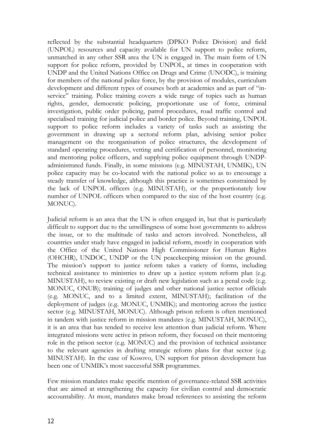reflected by the substantial headquarters (DPKO Police Division) and field (UNPOL) resources and capacity available for UN support to police reform, unmatched in any other SSR area the UN is engaged in. The main form of UN support for police reform, provided by UNPOL, at times in cooperation with UNDP and the United Nations Office on Drugs and Crime (UNODC), is training for members of the national police force, by the provision of modules, curriculum development and different types of courses both at academies and as part of "inservice" training. Police training covers a wide range of topics such as human rights, gender, democratic policing, proportionate use of force, criminal investigation, public order policing, patrol procedures, road traffic control and specialised training for judicial police and border police. Beyond training, UNPOL support to police reform includes a variety of tasks such as assisting the government in drawing up a sectoral reform plan, advising senior police management on the reorganisation of police structures, the development of standard operating procedures, vetting and certification of personnel, monitoring and mentoring police officers, and supplying police equipment through UNDPadministrated funds. Finally, in some missions (e.g. MINUSTAH, UNMIK), UN police capacity may be co-located with the national police so as to encourage a steady transfer of knowledge, although this practice is sometimes constrained by the lack of UNPOL officers (e.g. MINUSTAH), or the proportionately low number of UNPOL officers when compared to the size of the host country (e.g. MONUC).

Judicial reform is an area that the UN is often engaged in, but that is particularly difficult to support due to the unwillingness of some host governments to address the issue, or to the multitude of tasks and actors involved. Nonetheless, all countries under study have engaged in judicial reform, mostly in cooperation with the Office of the United Nations High Commissioner for Human Rights (OHCHR), UNDOC, UNDP or the UN peacekeeping mission on the ground. The mission's support to justice reform takes a variety of forms, including technical assistance to ministries to draw up a justice system reform plan (e.g. MINUSTAH), to review existing or draft new legislation such as a penal code (e.g. MONUC, ONUB); training of judges and other national justice sector officials (e.g. MONUC, and to a limited extent, MINUSTAH); facilitation of the deployment of judges (e.g. MONUC, UNMIK); and mentoring across the justice sector (e.g. MINUSTAH, MONUC). Although prison reform is often mentioned in tandem with justice reform in mission mandates (e.g. MINUSTAH, MONUC), it is an area that has tended to receive less attention than judicial reform. Where integrated missions were active in prison reform, they focused on their mentoring role in the prison sector (e.g. MONUC) and the provision of technical assistance to the relevant agencies in drafting strategic reform plans for that sector (e.g. MINUSTAH). In the case of Kosovo, UN support for prison development has been one of UNMIK's most successful SSR programmes.

Few mission mandates make specific mention of governance-related SSR activities that are aimed at strengthening the capacity for civilian control and democratic accountability. At most, mandates make broad references to assisting the reform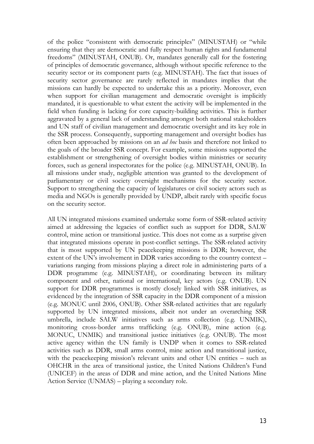of the police "consistent with democratic principles" (MINUSTAH) or "while ensuring that they are democratic and fully respect human rights and fundamental freedoms" (MINUSTAH, ONUB). Or, mandates generally call for the fostering of principles of democratic governance, although without specific reference to the security sector or its component parts (e.g. MINUSTAH). The fact that issues of security sector governance are rarely reflected in mandates implies that the missions can hardly be expected to undertake this as a priority. Moreover, even when support for civilian management and democratic oversight is implicitly mandated, it is questionable to what extent the activity will be implemented in the field when funding is lacking for core capacity-building activities. This is further aggravated by a general lack of understanding amongst both national stakeholders and UN staff of civilian management and democratic oversight and its key role in the SSR process. Consequently, supporting management and oversight bodies has often been approached by missions on an *ad hoc* basis and therefore not linked to the goals of the broader SSR concept. For example, some missions supported the establishment or strengthening of oversight bodies within ministries or security forces, such as general inspectorates for the police (e.g. MINUSTAH, ONUB). In all missions under study, negligible attention was granted to the development of parliamentary or civil society oversight mechanisms for the security sector. Support to strengthening the capacity of legislatures or civil society actors such as media and NGOs is generally provided by UNDP, albeit rarely with specific focus on the security sector.

All UN integrated missions examined undertake some form of SSR-related activity aimed at addressing the legacies of conflict such as support for DDR, SALW control, mine action or transitional justice. This does not come as a surprise given that integrated missions operate in post-conflict settings. The SSR-related activity that is most supported by UN peacekeeping missions is DDR; however, the extent of the UN's involvement in DDR varies according to the country context – variations ranging from missions playing a direct role in administering parts of a DDR programme (e.g. MINUSTAH), or coordinating between its military component and other, national or international, key actors (e.g. ONUB). UN support for DDR programmes is mostly closely linked with SSR initiatives, as evidenced by the integration of SSR capacity in the DDR component of a mission (e.g. MONUC until 2006, ONUB). Other SSR-related activities that are regularly supported by UN integrated missions, albeit not under an overarching SSR umbrella, include SALW initiatives such as arms collection (e.g. UNMIK), monitoring cross-border arms trafficking (e.g. ONUB), mine action (e.g. MONUC, UNMIK) and transitional justice initiatives (e.g. ONUB). The most active agency within the UN family is UNDP when it comes to SSR-related activities such as DDR, small arms control, mine action and transitional justice, with the peacekeeping mission's relevant units and other UN entities – such as OHCHR in the area of transitional justice, the United Nations Children's Fund (UNICEF) in the areas of DDR and mine action, and the United Nations Mine Action Service (UNMAS) – playing a secondary role.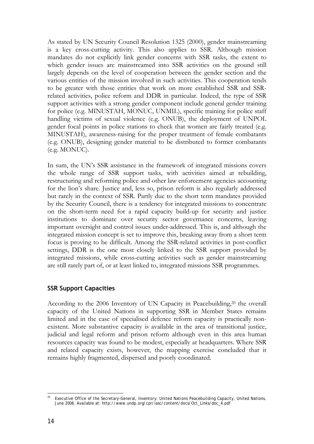As stated by UN Security Council Resolution 1325 (2000), gender mainstreaming is a key cross-cutting activity. This also applies to SSR. Although mission mandates do not explicitly link gender concerns with SSR tasks, the extent to which gender issues are mainstreamed into SSR activities on the ground still largely depends on the level of cooperation between the gender section and the various entities of the mission involved in such activities. This cooperation tends to be greater with those entities that work on more established SSR and SSRrelated activities, police reform and DDR in particular. Indeed, the type of SSR support activities with a strong gender component include general gender training for police (e.g. MINUSTAH, MONUC, UNMIL), specific training for police staff handling victims of sexual violence (e.g. ONUB), the deployment of UNPOL gender focal points in police stations to check that women are fairly treated (e.g. MINUSTAH), awareness-raising for the proper treatment of female combatants (e.g. ONUB), designing gender material to be distributed to former combatants (e.g. MONUC).

In sum, the UN's SSR assistance in the framework of integrated missions covers the whole range of SSR support tasks, with activities aimed at rebuilding, restructuring and reforming police and other law enforcement agencies accounting for the lion's share. Justice and, less so, prison reform is also regularly addressed but rarely in the context of SSR. Partly due to the short term mandates provided by the Security Council, there is a tendency for integrated missions to concentrate on the short-term need for a rapid capacity build-up for security and justice institutions to dominate over security sector governance concerns, leaving important oversight and control issues under-addressed. This is, and although the integrated mission concept is set to improve this, breaking away from a short term focus is proving to be difficult. Among the SSR-related activities in post-conflict settings, DDR is the one most closely linked to the SSR support provided by integrated missions, while cross-cutting activities such as gender mainstreaming are still rarely part of, or at least linked to, integrated missions SSR programmes.

## **SSR Support Capacities**

According to the 2006 Inventory of UN Capacity in Peacebuilding,20 the overall capacity of the United Nations in supporting SSR in Member States remains limited and in the case of specialised defence reform capacity is practically nonexistent. More substantive capacity is available in the area of transitional justice, judicial and legal reform and prison reform although even in this area human resources capacity was found to be modest, especially at headquarters. Where SSR and related capacity exists, however, the mapping exercise concluded that it remains highly fragmented, dispersed and poorly coordinated.

<sup>1</sup> 20 Executive Office of the Secretary-General, *Inventory: United Nations Peacebuilding Capacity*, United Nations, June 2006. Available at: http://www.undp.org/cpr/iasc/content/docs/Oct\_Links/doc\_4.pdf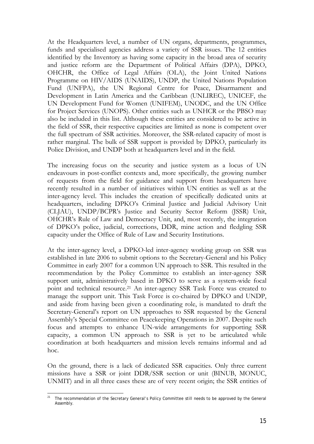At the Headquarters level, a number of UN organs, departments, programmes, funds and specialised agencies address a variety of SSR issues. The 12 entities identified by the Inventory as having some capacity in the broad area of security and justice reform are the Department of Political Affairs (DPA), DPKO, OHCHR, the Office of Legal Affairs (OLA), the Joint United Nations Programme on HIV/AIDS (UNAIDS), UNDP, the United Nations Population Fund (UNFPA), the UN Regional Centre for Peace, Disarmament and Development in Latin America and the Caribbean (UNLIREC), UNICEF, the UN Development Fund for Women (UNIFEM), UNODC, and the UN Office for Project Services (UNOPS). Other entities such as UNHCR or the PBSO may also be included in this list. Although these entities are considered to be active in the field of SSR, their respective capacities are limited as none is competent over the full spectrum of SSR activities. Moreover, the SSR-related capacity of most is rather marginal. The bulk of SSR support is provided by DPKO, particularly its Police Division, and UNDP both at headquarters level and in the field.

The increasing focus on the security and justice system as a locus of UN endeavours in post-conflict contexts and, more specifically, the growing number of requests from the field for guidance and support from headquarters have recently resulted in a number of initiatives within UN entities as well as at the inter-agency level. This includes the creation of specifically dedicated units at headquarters, including DPKO's Criminal Justice and Judicial Advisory Unit (CLJAU), UNDP/BCPR's Justice and Security Sector Reform (JSSR) Unit, OHCHR's Rule of Law and Democracy Unit, and, most recently, the integration of DPKO's police, judicial, corrections, DDR, mine action and fledgling SSR capacity under the Office of Rule of Law and Security Institutions.

At the inter-agency level, a DPKO-led inter-agency working group on SSR was established in late 2006 to submit options to the Secretary-General and his Policy Committee in early 2007 for a common UN approach to SSR. This resulted in the recommendation by the Policy Committee to establish an inter-agency SSR support unit, administratively based in DPKO to serve as a system-wide focal point and technical resource.21 An inter-agency SSR Task Force was created to manage the support unit. This Task Force is co-chaired by DPKO and UNDP, and aside from having been given a coordinating role, is mandated to draft the Secretary-General's report on UN approaches to SSR requested by the General Assembly's Special Committee on Peacekeeping Operations in 2007. Despite such focus and attempts to enhance UN-wide arrangements for supporting SSR capacity, a common UN approach to SSR is yet to be articulated while coordination at both headquarters and mission levels remains informal and ad hoc.

On the ground, there is a lack of dedicated SSR capacities. Only three current missions have a SSR or joint DDR/SSR section or unit (BINUB, MONUC, UNMIT) and in all three cases these are of very recent origin; the SSR entities of

<sup>1</sup> <sup>21</sup> The recommendation of the Secretary General's Policy Committee still needs to be approved by the General Assembly.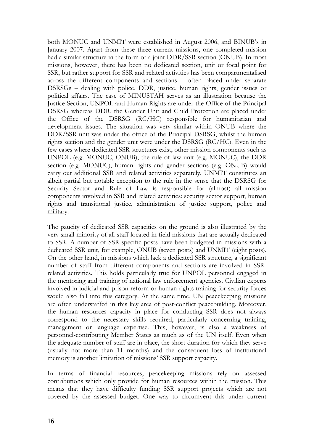both MONUC and UNMIT were established in August 2006, and BINUB's in January 2007. Apart from these three current missions, one completed mission had a similar structure in the form of a joint DDR/SSR section (ONUB). In most missions, however, there has been no dedicated section, unit or focal point for SSR, but rather support for SSR and related activities has been compartmentalised across the different components and sections – often placed under separate DSRSGs – dealing with police, DDR, justice, human rights, gender issues or political affairs. The case of MINUSTAH serves as an illustration because the Justice Section, UNPOL and Human Rights are under the Office of the Principal DSRSG whereas DDR, the Gender Unit and Child Protection are placed under the Office of the DSRSG (RC/HC) responsible for humanitarian and development issues. The situation was very similar within ONUB where the DDR/SSR unit was under the office of the Principal DSRSG, whilst the human rights section and the gender unit were under the DSRSG (RC/HC). Even in the few cases where dedicated SSR structures exist, other mission components such as UNPOL (e.g. MONUC, ONUB), the rule of law unit (e.g. MONUC), the DDR section (e.g. MONUC), human rights and gender sections (e.g. ONUB) would carry out additional SSR and related activities separately. UNMIT constitutes an albeit partial but notable exception to the rule in the sense that the DSRSG for Security Sector and Rule of Law is responsible for (almost) all mission components involved in SSR and related activities: security sector support, human rights and transitional justice, administration of justice support, police and military.

The paucity of dedicated SSR capacities on the ground is also illustrated by the very small minority of all staff located in field missions that are actually dedicated to SSR. A number of SSR-specific posts have been budgeted in missions with a dedicated SSR unit, for example, ONUB (seven posts) and UNMIT (eight posts). On the other hand, in missions which lack a dedicated SSR structure, a significant number of staff from different components and sections are involved in SSRrelated activities. This holds particularly true for UNPOL personnel engaged in the mentoring and training of national law enforcement agencies. Civilian experts involved in judicial and prison reform or human rights training for security forces would also fall into this category. At the same time, UN peacekeeping missions are often understaffed in this key area of post-conflict peacebuilding. Moreover, the human resources capacity in place for conducting SSR does not always correspond to the necessary skills required, particularly concerning training, management or language expertise. This, however, is also a weakness of personnel-contributing Member States as much as of the UN itself. Even when the adequate number of staff are in place, the short duration for which they serve (usually not more than 11 months) and the consequent loss of institutional memory is another limitation of missions' SSR support capacity.

In terms of financial resources, peacekeeping missions rely on assessed contributions which only provide for human resources within the mission. This means that they have difficulty funding SSR support projects which are not covered by the assessed budget. One way to circumvent this under current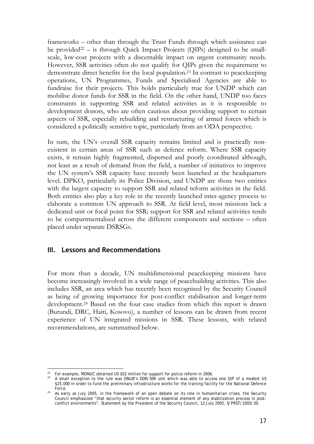frameworks – other than through the Trust Funds through which assistance can be provided<sup>22</sup> – is through Quick Impact Projects (QIPs) designed to be smallscale, low-cost projects with a discernable impact on urgent community needs. However, SSR activities often do not qualify for QIPs given the requirement to demonstrate direct benefits for the local population.23 In contrast to peacekeeping operations, UN Programmes, Funds and Specialised Agencies are able to fundraise for their projects. This holds particularly true for UNDP which can mobilise donor funds for SSR in the field. On the other hand, UNDP too faces constraints in supporting SSR and related activities as it is responsible to development donors, who are often cautious about providing support to certain aspects of SSR, especially rebuilding and restructuring of armed forces which is considered a politically sensitive topic, particularly from an ODA perspective.

In sum, the UN's overall SSR capacity remains limited and is practically nonexistent in certain areas of SSR such as defence reform. Where SSR capacity exists, it remain highly fragmented, dispersed and poorly coordinated although, not least as a result of demand from the field, a number of initiatives to improve the UN system's SSR capacity have recently been launched at the headquarters level. DPKO, particularly its Police Division, and UNDP are those two entities with the largest capacity to support SSR and related reform activities in the field. Both entities also play a key role in the recently launched inter-agency process to elaborate a common UN approach to SSR. At field level, most missions lack a dedicated unit or focal point for SSR; support for SSR and related activities tends to be compartmentalised across the different components and sections – often placed under separate DSRSGs.

## **III. Lessons and Recommendations**

<u>.</u>

For more than a decade, UN multidimensional peacekeeping missions have become increasingly involved in a wide range of peacebuilding activities. This also includes SSR, an area which has recently been recognised by the Security Council as being of growing importance for post-conflict stabilisation and longer-term development.24 Based on the four case studies from which this report is drawn (Burundi, DRC, Haiti, Kosovo), a number of lessons can be drawn from recent experience of UN integrated missions in SSR. These lessons, with related recommendations, are summarised below.

<sup>&</sup>lt;sup>22</sup> For example, MONUC obtained US \$52 million for support for police reform in 2006.<br><sup>23</sup> A small exception to the rule was ONUB's DDR/SSR unit which was able to access one QIP of a modest US \$25,000 in order to fund the preliminary infrastructure works for the training facility for the National Defence

Force.<br><sup>24</sup> As early as July 2005, in the framework of an open debate on its role in humanitarian crises, the Security Council emphasized "that security sector reform is an essential element of any stabilization process in postconflict environments". Statement by the President of the Security Council, 12 July 2005, S/PRST/2005/30.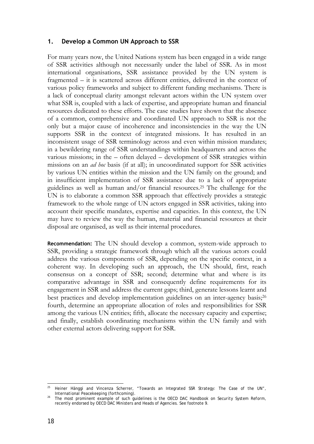## **1. Develop a Common UN Approach to SSR**

For many years now, the United Nations system has been engaged in a wide range of SSR activities although not necessarily under the label of SSR. As in most international organisations, SSR assistance provided by the UN system is fragmented – it is scattered across different entities, delivered in the context of various policy frameworks and subject to different funding mechanisms. There is a lack of conceptual clarity amongst relevant actors within the UN system over what SSR is, coupled with a lack of expertise, and appropriate human and financial resources dedicated to these efforts. The case studies have shown that the absence of a common, comprehensive and coordinated UN approach to SSR is not the only but a major cause of incoherence and inconsistencies in the way the UN supports SSR in the context of integrated missions. It has resulted in an inconsistent usage of SSR terminology across and even within mission mandates; in a bewildering range of SSR understandings within headquarters and across the various missions; in the – often delayed – development of SSR strategies within missions on an *ad hoc* basis (if at all); in uncoordinated support for SSR activities by various UN entities within the mission and the UN family on the ground; and in insufficient implementation of SSR assistance due to a lack of appropriate guidelines as well as human and/or financial resources.25 The challenge for the UN is to elaborate a common SSR approach that effectively provides a strategic framework to the whole range of UN actors engaged in SSR activities, taking into account their specific mandates, expertise and capacities. In this context, the UN may have to review the way the human, material and financial resources at their disposal are organised, as well as their internal procedures.

**Recommendation:** The UN should develop a common, system-wide approach to SSR, providing a strategic framework through which all the various actors could address the various components of SSR, depending on the specific context, in a coherent way. In developing such an approach, the UN should, first, reach consensus on a concept of SSR; second; determine what and where is its comparative advantage in SSR and consequently define requirements for its engagement in SSR and address the current gaps; third, generate lessons learnt and best practices and develop implementation guidelines on an inter-agency basis;<sup>26</sup> fourth, determine an appropriate allocation of roles and responsibilities for SSR among the various UN entities; fifth, allocate the necessary capacity and expertise; and finally, establish coordinating mechanisms within the UN family and with other external actors delivering support for SSR.

<sup>1</sup> 25 Heiner Hänggi and Vincenza Scherrer, "Towards an Integrated SSR Strategy: The Case of the UN", *International Peacekeeping* (forthcoming).<br>26 The most prominent example of such guidelines is the *OECD DAC Handbook on Security System Reform*,

recently endorsed by OECD DAC Ministers and Heads of Agencies. See footnote 9.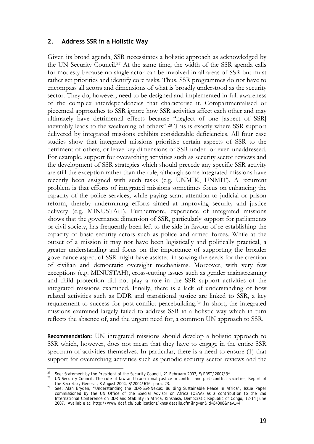#### **2. Address SSR in a Holistic Way**

Given its broad agenda, SSR necessitates a holistic approach as acknowledged by the UN Security Council.27 At the same time, the width of the SSR agenda calls for modesty because no single actor can be involved in all areas of SSR but must rather set priorities and identify core tasks. Thus, SSR programmes do not have to encompass all actors and dimensions of what is broadly understood as the security sector. They do, however, need to be designed and implemented in full awareness of the complex interdependencies that characterise it. Compartmentalised or piecemeal approaches to SSR ignore how SSR activities affect each other and may ultimately have detrimental effects because "neglect of one [aspect of SSR] inevitably leads to the weakening of others".28 This is exactly where SSR support delivered by integrated missions exhibits considerable deficiencies. All four case studies show that integrated missions prioritise certain aspects of SSR to the detriment of others, or leave key dimensions of SSR under- or even unaddressed. For example, support for overarching activities such as security sector reviews and the development of SSR strategies which should precede any specific SSR activity are still the exception rather than the rule, although some integrated missions have recently been assigned with such tasks (e.g. UNMIK, UNMIT). A recurrent problem is that efforts of integrated missions sometimes focus on enhancing the capacity of the police services, while paying scant attention to judicial or prison reform, thereby undermining efforts aimed at improving security and justice delivery (e.g. MINUSTAH). Furthermore, experience of integrated missions shows that the governance dimension of SSR, particularly support for parliaments or civil society, has frequently been left to the side in favour of re-establishing the capacity of basic security actors such as police and armed forces. While at the outset of a mission it may not have been logistically and politically practical, a greater understanding and focus on the importance of supporting the broader governance aspect of SSR might have assisted in sowing the seeds for the creation of civilian and democratic oversight mechanisms. Moreover, with very few exceptions (e.g. MINUSTAH), cross-cutting issues such as gender mainstreaming and child protection did not play a role in the SSR support activities of the integrated missions examined. Finally, there is a lack of understanding of how related activities such as DDR and transitional justice are linked to SSR, a key requirement to success for post-conflict peacebuilding.29 In short, the integrated missions examined largely failed to address SSR in a holistic way which in turn reflects the absence of, and the urgent need for, a common UN approach to SSR.

**Recommendation:** UN integrated missions should develop a holistic approach to SSR which, however, does not mean that they have to engage in the entire SSR spectrum of activities themselves. In particular, there is a need to ensure (1) that support for overarching activities such as periodic security sector reviews and the

<sup>&</sup>lt;u>.</u>

<sup>&</sup>lt;sup>27</sup> See: Statement by the President of the Security Council, 21 February 2007, S/PRST/2007/3\*.<br><sup>28</sup> UN Security Council, *The rule of law and transitional justice in conflict and post-conflict societies, Report of* the Secretary-General, 3 August 2004, S/2004/616, para. 23. 29 See: Alan Bryden, "Understanding the DDR-SSR-Nexus: Building Sustainable Peace in Africa", Issue Paper

commissioned by the UN Office of the Special Advisor on Africa (OSAA) as a contribution to the 2nd International Conference on DDR and Stability in Africa, Kinshasa, Democratic Republic of Congo, 12-14 June 2007. Available at: http://www.dcaf.ch/publications/kms/details.cfm?lng=en&id=34308&nav1=4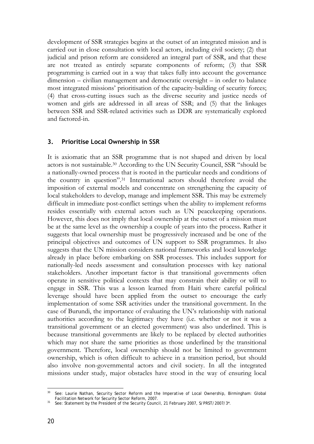development of SSR strategies begins at the outset of an integrated mission and is carried out in close consultation with local actors, including civil society; (2) that judicial and prison reform are considered an integral part of SSR, and that these are not treated as entirely separate components of reform; (3) that SSR programming is carried out in a way that takes fully into account the governance dimension – civilian management and democratic oversight – in order to balance most integrated missions' prioritisation of the capacity-building of security forces; (4) that cross-cutting issues such as the diverse security and justice needs of women and girls are addressed in all areas of SSR; and (5) that the linkages between SSR and SSR-related activities such as DDR are systematically explored and factored-in.

## **3. Prioritise Local Ownership in SSR**

It is axiomatic that an SSR programme that is not shaped and driven by local actors is not sustainable.30 According to the UN Security Council, SSR "should be a nationally-owned process that is rooted in the particular needs and conditions of the country in question".31 International actors should therefore avoid the imposition of external models and concentrate on strengthening the capacity of local stakeholders to develop, manage and implement SSR. This may be extremely difficult in immediate post-conflict settings when the ability to implement reforms resides essentially with external actors such as UN peacekeeping operations. However, this does not imply that local ownership at the outset of a mission must be at the same level as the ownership a couple of years into the process. Rather it suggests that local ownership must be progressively increased and be one of the principal objectives and outcomes of UN support to SSR programmes. It also suggests that the UN mission considers national frameworks and local knowledge already in place before embarking on SSR processes. This includes support for nationally-led needs assessment and consultation processes with key national stakeholders. Another important factor is that transitional governments often operate in sensitive political contexts that may constrain their ability or will to engage in SSR. This was a lesson learned from Haiti where careful political leverage should have been applied from the outset to encourage the early implementation of some SSR activities under the transitional government. In the case of Burundi, the importance of evaluating the UN's relationship with national authorities according to the legitimacy they have (i.e. whether or not it was a transitional government or an elected government) was also underlined. This is because transitional governments are likely to be replaced by elected authorities which may not share the same priorities as those underlined by the transitional government. Therefore, local ownership should not be limited to government ownership, which is often difficult to achieve in a transition period, but should also involve non-governmental actors and civil society. In all the integrated missions under study, major obstacles have stood in the way of ensuring local

 $30<sup>2</sup>$ See: Laurie Nathan, *Security Sector Reform and the Imperative of Local Ownership*, Birmingham: Global Facilitation Network for Security Sector Reform. 2007.

See: Statement by the President of the Security Council, 21 February 2007, S/PRST/2007/3\*.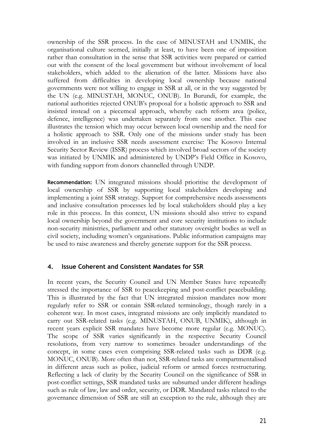ownership of the SSR process. In the case of MINUSTAH and UNMIK, the organisational culture seemed, initially at least, to have been one of imposition rather than consultation in the sense that SSR activities were prepared or carried out with the consent of the local government but without involvement of local stakeholders, which added to the alienation of the latter. Missions have also suffered from difficulties in developing local ownership because national governments were not willing to engage in SSR at all, or in the way suggested by the UN (e.g. MINUSTAH, MONUC, ONUB). In Burundi, for example, the national authorities rejected ONUB's proposal for a holistic approach to SSR and insisted instead on a piecemeal approach, whereby each reform area (police, defence, intelligence) was undertaken separately from one another. This case illustrates the tension which may occur between local ownership and the need for a holistic approach to SSR. Only one of the missions under study has been involved in an inclusive SSR needs assessment exercise: The Kosovo Internal Security Sector Review (ISSR) process which involved broad sectors of the society was initiated by UNMIK and administered by UNDP's Field Office in Kosovo, with funding support from donors channelled through UNDP.

**Recommendation:** UN integrated missions should prioritise the development of local ownership of SSR by supporting local stakeholders developing and implementing a joint SSR strategy. Support for comprehensive needs assessments and inclusive consultation processes led by local stakeholders should play a key role in this process. In this context, UN missions should also strive to expand local ownership beyond the government and core security institutions to include non-security ministries, parliament and other statutory oversight bodies as well as civil society, including women's organisations. Public information campaigns may be used to raise awareness and thereby generate support for the SSR process.

## **4. Issue Coherent and Consistent Mandates for SSR**

In recent years, the Security Council and UN Member States have repeatedly stressed the importance of SSR to peacekeeping and post-conflict peacebuilding. This is illustrated by the fact that UN integrated mission mandates now more regularly refer to SSR or contain SSR-related terminology, though rarely in a coherent way. In most cases, integrated missions are only implicitly mandated to carry out SSR-related tasks (e.g. MINUSTAH, ONUB, UNMIK), although in recent years explicit SSR mandates have become more regular (e.g. MONUC). The scope of SSR varies significantly in the respective Security Council resolutions, from very narrow to sometimes broader understandings of the concept, in some cases even comprising SSR-related tasks such as DDR (e.g. MONUC, ONUB). More often than not, SSR-related tasks are compartmentalised in different areas such as police, judicial reform or armed forces restructuring. Reflecting a lack of clarity by the Security Council on the significance of SSR in post-conflict settings, SSR mandated tasks are subsumed under different headings such as rule of law, law and order, security, or DDR. Mandated tasks related to the governance dimension of SSR are still an exception to the rule, although they are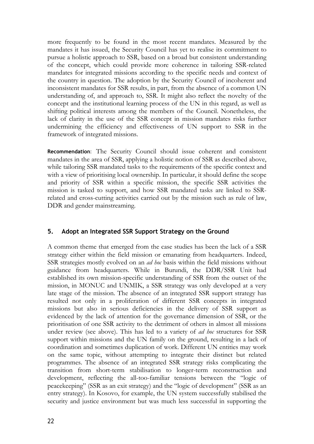more frequently to be found in the most recent mandates. Measured by the mandates it has issued, the Security Council has yet to realise its commitment to pursue a holistic approach to SSR, based on a broad but consistent understanding of the concept, which could provide more coherence in tailoring SSR-related mandates for integrated missions according to the specific needs and context of the country in question. The adoption by the Security Council of incoherent and inconsistent mandates for SSR results, in part, from the absence of a common UN understanding of, and approach to, SSR. It might also reflect the novelty of the concept and the institutional learning process of the UN in this regard, as well as shifting political interests among the members of the Council. Nonetheless, the lack of clarity in the use of the SSR concept in mission mandates risks further undermining the efficiency and effectiveness of UN support to SSR in the framework of integrated missions.

**Recommendation**: The Security Council should issue coherent and consistent mandates in the area of SSR, applying a holistic notion of SSR as described above, while tailoring SSR mandated tasks to the requirements of the specific context and with a view of prioritising local ownership. In particular, it should define the scope and priority of SSR within a specific mission, the specific SSR activities the mission is tasked to support, and how SSR mandated tasks are linked to SSRrelated and cross-cutting activities carried out by the mission such as rule of law, DDR and gender mainstreaming.

## **5. Adopt an Integrated SSR Support Strategy on the Ground**

A common theme that emerged from the case studies has been the lack of a SSR strategy either within the field mission or emanating from headquarters. Indeed, SSR strategies mostly evolved on an *ad hoc* basis within the field missions without guidance from headquarters. While in Burundi, the DDR/SSR Unit had established its own mission-specific understanding of SSR from the outset of the mission, in MONUC and UNMIK, a SSR strategy was only developed at a very late stage of the mission. The absence of an integrated SSR support strategy has resulted not only in a proliferation of different SSR concepts in integrated missions but also in serious deficiencies in the delivery of SSR support as evidenced by the lack of attention for the governance dimension of SSR, or the prioritisation of one SSR activity to the detriment of others in almost all missions under review (see above). This has led to a variety of *ad hoc* structures for SSR support within missions and the UN family on the ground, resulting in a lack of coordination and sometimes duplication of work. Different UN entities may work on the same topic, without attempting to integrate their distinct but related programmes. The absence of an integrated SSR strategy risks complicating the transition from short-term stabilisation to longer-term reconstruction and development, reflecting the all-too-familiar tensions between the "logic of peacekeeping" (SSR as an exit strategy) and the "logic of development" (SSR as an entry strategy). In Kosovo, for example, the UN system successfully stabilised the security and justice environment but was much less successful in supporting the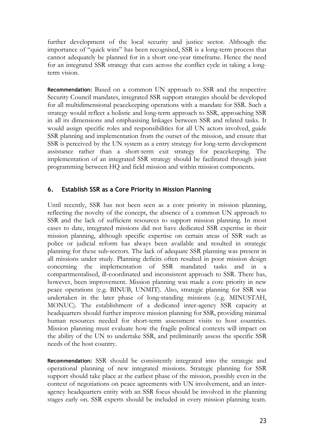further development of the local security and justice sector. Although the importance of "quick wins" has been recognised, SSR is a long-term process that cannot adequately be planned for in a short one-year timeframe. Hence the need for an integrated SSR strategy that cuts across the conflict cycle in taking a longterm vision.

**Recommendation:** Based on a common UN approach to SSR and the respective Security Council mandates, integrated SSR support strategies should be developed for all multidimensional peacekeeping operations with a mandate for SSR. Such a strategy would reflect a holistic and long-term approach to SSR, approaching SSR in all its dimensions and emphasising linkages between SSR and related tasks. It would assign specific roles and responsibilities for all UN actors involved, guide SSR planning and implementation from the outset of the mission, and ensure that SSR is perceived by the UN system as a entry strategy for long-term development assistance rather than a short-term exit strategy for peacekeeping. The implementation of an integrated SSR strategy should be facilitated through joint programming between HQ and field mission and within mission components.

## **6. Establish SSR as a Core Priority in Mission Planning**

Until recently, SSR has not been seen as a core priority in mission planning, reflecting the novelty of the concept, the absence of a common UN approach to SSR and the lack of sufficient resources to support mission planning. In most cases to date, integrated missions did not have dedicated SSR expertise in their mission planning, although specific expertise on certain areas of SSR such as police or judicial reform has always been available and resulted in strategic planning for these sub-sectors. The lack of adequate SSR planning was present in all missions under study. Planning deficits often resulted in poor mission design concerning the implementation of SSR mandated tasks and in a compartmentalised, ill-coordinated and inconsistent approach to SSR. There has, however, been improvement. Mission planning was made a core priority in new peace operations (e.g. BINUB, UNMIT). Also, strategic planning for SSR was undertaken in the later phase of long-standing missions (e.g. MINUSTAH, MONUC). The establishment of a dedicated inter-agency SSR capacity at headquarters should further improve mission planning for SSR, providing minimal human resources needed for short-term assessment visits to host countries. Mission planning must evaluate how the fragile political contexts will impact on the ability of the UN to undertake SSR, and preliminarily assess the specific SSR needs of the host country.

**Recommendation:** SSR should be consistently integrated into the strategic and operational planning of new integrated missions. Strategic planning for SSR support should take place at the earliest phase of the mission, possibly even in the context of negotiations on peace agreements with UN involvement, and an interagency headquarters entity with an SSR focus should be involved in the planning stages early on. SSR experts should be included in every mission planning team.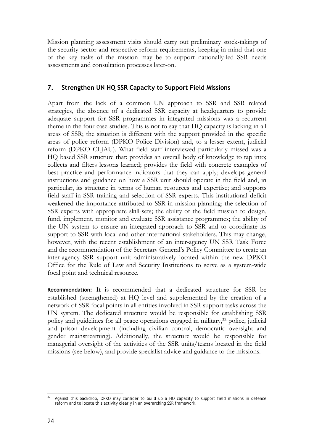Mission planning assessment visits should carry out preliminary stock-takings of the security sector and respective reform requirements, keeping in mind that one of the key tasks of the mission may be to support nationally-led SSR needs assessments and consultation processes later-on.

## **7. Strengthen UN HQ SSR Capacity to Support Field Missions**

Apart from the lack of a common UN approach to SSR and SSR related strategies, the absence of a dedicated SSR capacity at headquarters to provide adequate support for SSR programmes in integrated missions was a recurrent theme in the four case studies. This is not to say that HQ capacity is lacking in all areas of SSR; the situation is different with the support provided in the specific areas of police reform (DPKO Police Division) and, to a lesser extent, judicial reform (DPKO CLJAU). What field staff interviewed particularly missed was a HQ based SSR structure that: provides an overall body of knowledge to tap into; collects and filters lessons learned; provides the field with concrete examples of best practice and performance indicators that they can apply; develops general instructions and guidance on how a SSR unit should operate in the field and, in particular, its structure in terms of human resources and expertise; and supports field staff in SSR training and selection of SSR experts. This institutional deficit weakened the importance attributed to SSR in mission planning; the selection of SSR experts with appropriate skill-sets; the ability of the field mission to design, fund, implement, monitor and evaluate SSR assistance programmes; the ability of the UN system to ensure an integrated approach to SSR and to coordinate its support to SSR with local and other international stakeholders. This may change, however, with the recent establishment of an inter-agency UN SSR Task Force and the recommendation of the Secretary General's Policy Committee to create an inter-agency SSR support unit administratively located within the new DPKO Office for the Rule of Law and Security Institutions to serve as a system-wide focal point and technical resource.

**Recommendation:** It is recommended that a dedicated structure for SSR be established (strengthened) at HQ level and supplemented by the creation of a network of SSR focal points in all entities involved in SSR support tasks across the UN system. The dedicated structure would be responsible for establishing SSR policy and guidelines for all peace operations engaged in military,32 police, judicial and prison development (including civilian control, democratic oversight and gender mainstreaming). Additionally, the structure would be responsible for managerial oversight of the activities of the SSR units/teams located in the field missions (see below), and provide specialist advice and guidance to the missions.

 $32$ Against this backdrop, DPKO may consider to build up a HQ capacity to support field missions in defence reform and to locate this activity clearly in an overarching SSR framework.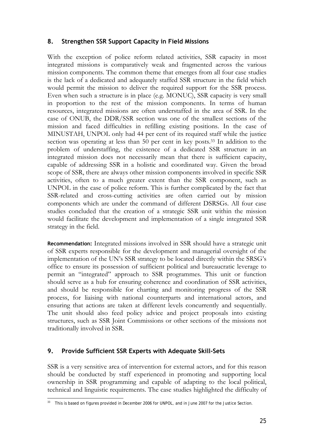## **8. Strengthen SSR Support Capacity in Field Missions**

With the exception of police reform related activities, SSR capacity in most integrated missions is comparatively weak and fragmented across the various mission components. The common theme that emerges from all four case studies is the lack of a dedicated and adequately staffed SSR structure in the field which would permit the mission to deliver the required support for the SSR process. Even when such a structure is in place (e.g. MONUC), SSR capacity is very small in proportion to the rest of the mission components. In terms of human resources, integrated missions are often understaffed in the area of SSR. In the case of ONUB, the DDR/SSR section was one of the smallest sections of the mission and faced difficulties in refilling existing positions. In the case of MINUSTAH, UNPOL only had 44 per cent of its required staff while the justice section was operating at less than 50 per cent in key posts.<sup>33</sup> In addition to the problem of understaffing, the existence of a dedicated SSR structure in an integrated mission does not necessarily mean that there is sufficient capacity, capable of addressing SSR in a holistic and coordinated way. Given the broad scope of SSR, there are always other mission components involved in specific SSR activities, often to a much greater extent than the SSR component, such as UNPOL in the case of police reform. This is further complicated by the fact that SSR-related and cross-cutting activities are often carried out by mission components which are under the command of different DSRSGs. All four case studies concluded that the creation of a strategic SSR unit within the mission would facilitate the development and implementation of a single integrated SSR strategy in the field.

**Recommendation:** Integrated missions involved in SSR should have a strategic unit of SSR experts responsible for the development and managerial oversight of the implementation of the UN's SSR strategy to be located directly within the SRSG's office to ensure its possession of sufficient political and bureaucratic leverage to permit an "integrated" approach to SSR programmes. This unit or function should serve as a hub for ensuring coherence and coordination of SSR activities, and should be responsible for charting and monitoring progress of the SSR process, for liaising with national counterparts and international actors, and ensuring that actions are taken at different levels concurrently and sequentially. The unit should also feed policy advice and project proposals into existing structures, such as SSR Joint Commissions or other sections of the missions not traditionally involved in SSR.

# **9. Provide Sufficient SSR Experts with Adequate Skill-Sets**

SSR is a very sensitive area of intervention for external actors, and for this reason should be conducted by staff experienced in promoting and supporting local ownership in SSR programming and capable of adapting to the local political, technical and linguistic requirements. The case studies highlighted the difficulty of

<sup>1</sup> This is based on figures provided in December 2006 for UNPOL, and in June 2007 for the Justice Section.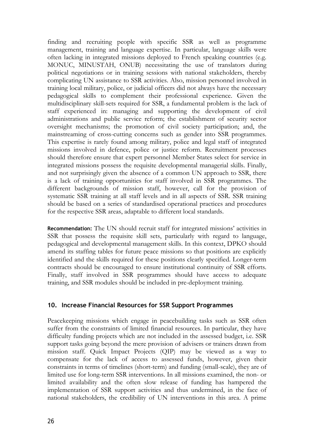finding and recruiting people with specific SSR as well as programme management, training and language expertise. In particular, language skills were often lacking in integrated missions deployed to French speaking countries (e.g. MONUC, MINUSTAH, ONUB) necessitating the use of translators during political negotiations or in training sessions with national stakeholders, thereby complicating UN assistance to SSR activities. Also, mission personnel involved in training local military, police, or judicial officers did not always have the necessary pedagogical skills to complement their professional experience. Given the multidisciplinary skill-sets required for SSR, a fundamental problem is the lack of staff experienced in: managing and supporting the development of civil administrations and public service reform; the establishment of security sector oversight mechanisms; the promotion of civil society participation; and, the mainstreaming of cross-cutting concerns such as gender into SSR programmes. This expertise is rarely found among military, police and legal staff of integrated missions involved in defence, police or justice reform. Recruitment processes should therefore ensure that expert personnel Member States select for service in integrated missions possess the requisite developmental managerial skills. Finally, and not surprisingly given the absence of a common UN approach to SSR, there is a lack of training opportunities for staff involved in SSR programmes. The different backgrounds of mission staff, however, call for the provision of systematic SSR training at all staff levels and in all aspects of SSR. SSR training should be based on a series of standardised operational practices and procedures for the respective SSR areas, adaptable to different local standards.

**Recommendation:** The UN should recruit staff for integrated missions' activities in SSR that possess the requisite skill sets, particularly with regard to language, pedagogical and developmental management skills. In this context, DPKO should amend its staffing tables for future peace missions so that positions are explicitly identified and the skills required for these positions clearly specified. Longer-term contracts should be encouraged to ensure institutional continuity of SSR efforts. Finally, staff involved in SSR programmes should have access to adequate training, and SSR modules should be included in pre-deployment training.

## **10. Increase Financial Resources for SSR Support Programmes**

Peacekeeping missions which engage in peacebuilding tasks such as SSR often suffer from the constraints of limited financial resources. In particular, they have difficulty funding projects which are not included in the assessed budget, i.e. SSR support tasks going beyond the mere provision of advisers or trainers drawn from mission staff. Quick Impact Projects (QIP) may be viewed as a way to compensate for the lack of access to assessed funds, however, given their constraints in terms of timelines (short-term) and funding (small-scale), they are of limited use for long-term SSR interventions. In all missions examined, the non- or limited availability and the often slow release of funding has hampered the implementation of SSR support activities and thus undermined, in the face of national stakeholders, the credibility of UN interventions in this area. A prime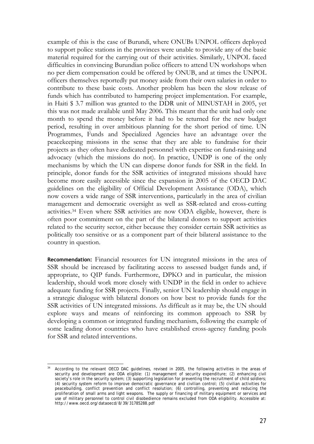example of this is the case of Burundi, where ONUBs UNPOL officers deployed to support police stations in the provinces were unable to provide any of the basic material required for the carrying out of their activities. Similarly, UNPOL faced difficulties in convincing Burundian police officers to attend UN workshops when no per diem compensation could be offered by ONUB, and at times the UNPOL officers themselves reportedly put money aside from their own salaries in order to contribute to these basic costs. Another problem has been the slow release of funds which has contributed to hampering project implementation. For example, in Haiti \$ 3.7 million was granted to the DDR unit of MINUSTAH in 2005, yet this was not made available until May 2006. This meant that the unit had only one month to spend the money before it had to be returned for the new budget period, resulting in over ambitious planning for the short period of time. UN Programmes, Funds and Specialized Agencies have an advantage over the peacekeeping missions in the sense that they are able to fundraise for their projects as they often have dedicated personnel with expertise on fund-raising and advocacy (which the missions do not). In practice, UNDP is one of the only mechanisms by which the UN can disperse donor funds for SSR in the field. In principle, donor funds for the SSR activities of integrated missions should have become more easily accessible since the expansion in 2005 of the OECD DAC guidelines on the eligibility of Official Development Assistance (ODA), which now covers a wide range of SSR interventions, particularly in the area of civilian management and democratic oversight as well as SSR-related and cross-cutting activities.34 Even where SSR activities are now ODA eligible, however, there is often poor commitment on the part of the bilateral donors to support activities related to the security sector, either because they consider certain SSR activities as politically too sensitive or as a component part of their bilateral assistance to the country in question.

**Recommendation:** Financial resources for UN integrated missions in the area of SSR should be increased by facilitating access to assessed budget funds and, if appropriate, to QIP funds. Furthermore, DPKO and in particular, the mission leadership, should work more closely with UNDP in the field in order to achieve adequate funding for SSR projects. Finally, senior UN leadership should engage in a strategic dialogue with bilateral donors on how best to provide funds for the SSR activities of UN integrated missions. As difficult as it may be, the UN should explore ways and means of reinforcing its common approach to SSR by developing a common or integrated funding mechanism, following the example of some leading donor countries who have established cross-agency funding pools for SSR and related interventions.

1

<sup>&</sup>lt;sup>34</sup> According to the relevant OECD DAC guidelines, revised in 2005, the following activities in the areas of security and development are ODA eligible: (1) management of security expenditure; (2) enhancing civil society's role in the security system; (3) supporting legislation for preventing the recruitment of child soldiers; (4) security system reform to improve democratic governance and civilian control; (5) civilian activities for peacebuilding, conflict prevention and conflict resolution; (6) controlling, preventing and reducing the proliferation of small arms and light weapons. The supply or financing of military equipment or services and use of military personnel to control civil disobedience remains excluded from ODA eligibility. Accessible at: http://www.oecd.org/dataoecd/8/39/31785288.pdf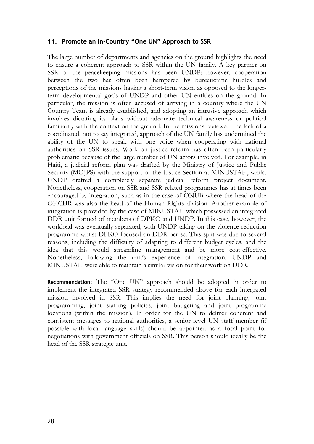## **11. Promote an In-Country "One UN" Approach to SSR**

The large number of departments and agencies on the ground highlights the need to ensure a coherent approach to SSR within the UN family. A key partner on SSR of the peacekeeping missions has been UNDP; however, cooperation between the two has often been hampered by bureaucratic hurdles and perceptions of the missions having a short-term vision as opposed to the longerterm developmental goals of UNDP and other UN entities on the ground. In particular, the mission is often accused of arriving in a country where the UN Country Team is already established, and adopting an intrusive approach which involves dictating its plans without adequate technical awareness or political familiarity with the context on the ground. In the missions reviewed, the lack of a coordinated, not to say integrated, approach of the UN family has undermined the ability of the UN to speak with one voice when cooperating with national authorities on SSR issues. Work on justice reform has often been particularly problematic because of the large number of UN actors involved. For example, in Haiti, a judicial reform plan was drafted by the Ministry of Justice and Public Security (MOJPS) with the support of the Justice Section at MINUSTAH, whilst UNDP drafted a completely separate judicial reform project document. Nonetheless, cooperation on SSR and SSR related programmes has at times been encouraged by integration, such as in the case of ONUB where the head of the OHCHR was also the head of the Human Rights division. Another example of integration is provided by the case of MINUSTAH which possessed an integrated DDR unit formed of members of DPKO and UNDP. In this case, however, the workload was eventually separated, with UNDP taking on the violence reduction programme whilst DPKO focused on DDR per se. This split was due to several reasons, including the difficulty of adapting to different budget cycles, and the idea that this would streamline management and be more cost-effective. Nonetheless, following the unit's experience of integration, UNDP and MINUSTAH were able to maintain a similar vision for their work on DDR.

**Recommendation:** The "One UN" approach should be adopted in order to implement the integrated SSR strategy recommended above for each integrated mission involved in SSR. This implies the need for joint planning, joint programming, joint staffing policies, joint budgeting and joint programme locations (within the mission). In order for the UN to deliver coherent and consistent messages to national authorities, a senior level UN staff member (if possible with local language skills) should be appointed as a focal point for negotiations with government officials on SSR. This person should ideally be the head of the SSR strategic unit.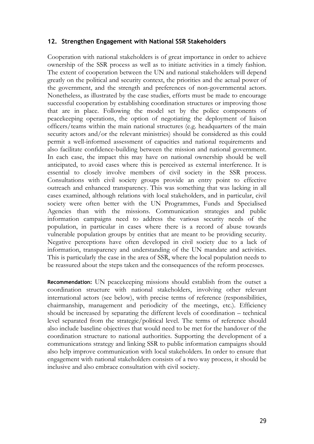#### **12. Strengthen Engagement with National SSR Stakeholders**

Cooperation with national stakeholders is of great importance in order to achieve ownership of the SSR process as well as to initiate activities in a timely fashion. The extent of cooperation between the UN and national stakeholders will depend greatly on the political and security context, the priorities and the actual power of the government, and the strength and preferences of non-governmental actors. Nonetheless, as illustrated by the case studies, efforts must be made to encourage successful cooperation by establishing coordination structures or improving those that are in place. Following the model set by the police components of peacekeeping operations, the option of negotiating the deployment of liaison officers/teams within the main national structures (e.g. headquarters of the main security actors and/or the relevant ministries) should be considered as this could permit a well-informed assessment of capacities and national requirements and also facilitate confidence-building between the mission and national government. In each case, the impact this may have on national ownership should be well anticipated, to avoid cases where this is perceived as external interference. It is essential to closely involve members of civil society in the SSR process. Consultations with civil society groups provide an entry point to effective outreach and enhanced transparency. This was something that was lacking in all cases examined, although relations with local stakeholders, and in particular, civil society were often better with the UN Programmes, Funds and Specialised Agencies than with the missions. Communication strategies and public information campaigns need to address the various security needs of the population, in particular in cases where there is a record of abuse towards vulnerable population groups by entities that are meant to be providing security. Negative perceptions have often developed in civil society due to a lack of information, transparency and understanding of the UN mandate and activities. This is particularly the case in the area of SSR, where the local population needs to be reassured about the steps taken and the consequences of the reform processes.

**Recommendation:** UN peacekeeping missions should establish from the outset a coordination structure with national stakeholders, involving other relevant international actors (see below), with precise terms of reference (responsibilities, chairmanship, management and periodicity of the meetings, etc.). Efficiency should be increased by separating the different levels of coordination – technical level separated from the strategic/political level. The terms of reference should also include baseline objectives that would need to be met for the handover of the coordination structure to national authorities. Supporting the development of a communications strategy and linking SSR to public information campaigns should also help improve communication with local stakeholders. In order to ensure that engagement with national stakeholders consists of a two way process, it should be inclusive and also embrace consultation with civil society.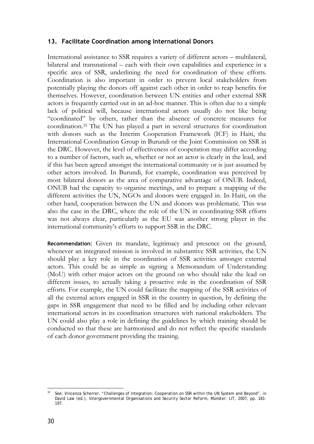## **13. Facilitate Coordination among International Donors**

International assistance to SSR requires a variety of different actors – multilateral, bilateral and transnational – each with their own capabilities and experience in a specific area of SSR, underlining the need for coordination of these efforts. Coordination is also important in order to prevent local stakeholders from potentially playing the donors off against each other in order to reap benefits for themselves. However, coordination between UN entities and other external SSR actors is frequently carried out in an ad-hoc manner. This is often due to a simple lack of political will, because international actors usually do not like being "coordinated" by others, rather than the absence of concrete measures for coordination.35 The UN has played a part in several structures for coordination with donors such as the Interim Cooperation Framework (ICF) in Haiti, the International Coordination Group in Burundi or the Joint Commission on SSR in the DRC. However, the level of effectiveness of cooperation may differ according to a number of factors, such as, whether or not an actor is clearly in the lead, and if this has been agreed amongst the international community or is just assumed by other actors involved. In Burundi, for example, coordination was perceived by most bilateral donors as the area of comparative advantage of ONUB. Indeed, ONUB had the capacity to organise meetings, and to prepare a mapping of the different activities the UN, NGOs and donors were engaged in. In Haiti, on the other hand, cooperation between the UN and donors was problematic. This was also the case in the DRC, where the role of the UN in coordinating SSR efforts was not always clear, particularly as the EU was another strong player in the international community's efforts to support SSR in the DRC.

**Recommendation:** Given its mandate, legitimacy and presence on the ground, whenever an integrated mission is involved in substantive SSR activities, the UN should play a key role in the coordination of SSR activities amongst external actors. This could be as simple as signing a Memorandum of Understanding (MoU) with other major actors on the ground on who should take the lead on different issues, to actually taking a proactive role in the coordination of SSR efforts. For example, the UN could facilitate the mapping of the SSR activities of all the external actors engaged in SSR in the country in question, by defining the gaps in SSR engagement that need to be filled and by including other relevant international actors in its coordination structures with national stakeholders. The UN could also play a role in defining the guidelines by which training should be conducted so that these are harmonised and do not reflect the specific standards of each donor government providing the training.

<sup>&</sup>lt;u>.</u> See: Vincenza Scherrer, "Challenges of Integration: Cooperation on SSR within the UN System and Beyond", in David Law (ed.), *Intergovernmental Organisations and Security Sector Reform*, Münster: LIT, 2007, pp. 181- 197.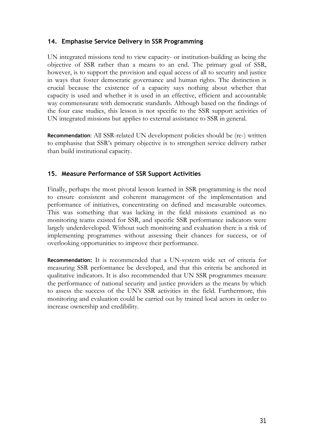## **14. Emphasise Service Delivery in SSR Programming**

UN integrated missions tend to view capacity- or institution-building as being the objective of SSR rather than a means to an end. The primary goal of SSR, however, is to support the provision and equal access of all to security and justice in ways that foster democratic governance and human rights. The distinction is crucial because the existence of a capacity says nothing about whether that capacity is used and whether it is used in an effective, efficient and accountable way commensurate with democratic standards. Although based on the findings of the four case studies, this lesson is not specific to the SSR support activities of UN integrated missions but applies to external assistance to SSR in general.

**Recommendation**: All SSR-related UN development policies should be (re-) written to emphasise that SSR's primary objective is to strengthen service delivery rather than build institutional capacity.

## **15. Measure Performance of SSR Support Activities**

Finally, perhaps the most pivotal lesson learned in SSR programming is the need to ensure consistent and coherent management of the implementation and performance of initiatives, concentrating on defined and measurable outcomes. This was something that was lacking in the field missions examined as no monitoring teams existed for SSR, and specific SSR performance indicators were largely underdeveloped. Without such monitoring and evaluation there is a risk of implementing programmes without assessing their chances for success, or of overlooking opportunities to improve their performance.

**Recommendation:** It is recommended that a UN-system wide set of criteria for measuring SSR performance be developed, and that this criteria be anchored in qualitative indicators. It is also recommended that UN SSR programmes measure the performance of national security and justice providers as the means by which to assess the success of the UN's SSR activities in the field. Furthermore, this monitoring and evaluation could be carried out by trained local actors in order to increase ownership and credibility.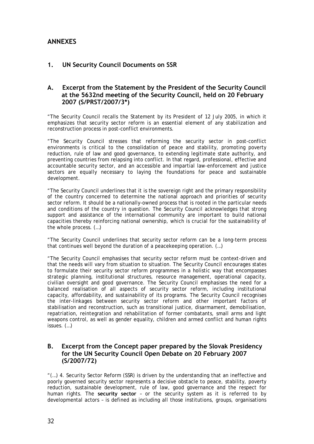# **ANNEXES**

## **1. UN Security Council Documents on SSR**

## **A. Excerpt from the Statement by the President of the Security Council at the 5632nd meeting of the Security Council, held on 20 February 2007 (S/PRST/2007/3\*)**

"The Security Council recalls the Statement by its President of 12 July 2005, in which it emphasizes that security sector reform is an essential element of any stabilization and reconstruction process in post-conflict environments.

"The Security Council stresses that reforming the security sector in post-conflict environments is critical to the consolidation of peace and stability, promoting poverty reduction, rule of law and good governance, to extending legitimate state authority, and preventing countries from relapsing into conflict. In that regard, professional, effective and accountable security sector, and an accessible and impartial law-enforcement and justice sectors are equally necessary to laying the foundations for peace and sustainable development.

"The Security Council underlines that it is the sovereign right and the primary responsibility of the country concerned to determine the national approach and priorities of security sector reform. It should be a nationally-owned process that is rooted in the particular needs and conditions of the country in question. The Security Council acknowledges that strong support and assistance of the international community are important to build national capacities thereby reinforcing national ownership, which is crucial for the sustainability of the whole process. (…)

"The Security Council underlines that security sector reform can be a long-term process that continues well beyond the duration of a peacekeeping operation. (…)

"The Security Council emphasises that security sector reform must be context-driven and that the needs will vary from situation to situation. The Security Council encourages states to formulate their security sector reform programmes in a holistic way that encompasses strategic planning, institutional structures, resource management, operational capacity, civilian oversight and good governance. The Security Council emphasises the need for a balanced realisation of all aspects of security sector reform, including institutional capacity, affordability, and sustainability of its programs. The Security Council recognises the inter-linkages between security sector reform and other important factors of stabilisation and reconstruction, such as transitional justice, disarmament, demobilisation, repatriation, reintegration and rehabilitation of former combatants, small arms and light weapons control, as well as gender equality, children and armed conflict and human rights issues. (…)

## **B. Excerpt from the Concept paper prepared by the Slovak Presidency for the UN Security Council Open Debate on 20 February 2007 (S/2007/72)**

"(…) 4. Security Sector Reform (SSR) is driven by the understanding that an ineffective and poorly governed security sector represents a decisive obstacle to peace, stability, poverty reduction, sustainable development, rule of law, good governance and the respect for human rights. The **security sector** – or the security system as it is referred to by developmental actors – is defined as including all those institutions, groups, organisations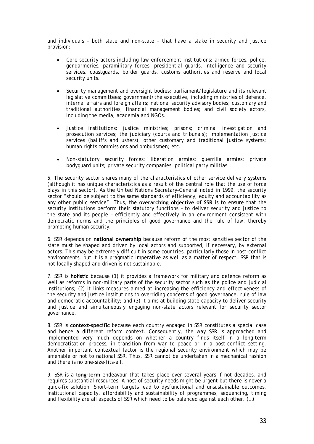and individuals – both state and non-state – that have a stake in security and justice provision:

- *Core security actors including law enforcement institutions:* armed forces, police, gendarmeries, paramilitary forces, presidential guards, intelligence and security services, coastguards, border guards, customs authorities and reserve and local security units.
- *Security management and oversight bodies:* parliament/legislature and its relevant legislative committees; government*/*the executive, including ministries of defence, internal affairs and foreign affairs; national security advisory bodies; customary and traditional authorities; financial management bodies; and civil society actors, including the media, academia and NGOs.
- *Justice institutions*: justice ministries; prisons; criminal investigation and prosecution services; the judiciary (courts and tribunals); implementation justice services (bailiffs and ushers), other customary and traditional justice systems; human rights commissions and ombudsmen; etc.
- *Non-statutory security forces*: liberation armies; guerrilla armies; private bodyguard units; private security companies; political party militias.

5. The security sector shares many of the characteristics of other service delivery systems (although it has unique characteristics as a result of the central role that the use of force plays in this sector). As the United Nations Secretary-General noted in 1999, the security sector "should be subject to the same standards of efficiency, equity and accountability as any other public service". Thus, the **overarching objective of SSR** is to ensure that the security institutions perform their statutory functions – to deliver security and justice to the state and its people – efficiently and effectively in an environment consistent with democratic norms and the principles of good governance and the rule of law, thereby promoting human security.

6. SSR depends on **national ownership** because reform of the most sensitive sector of the state must be shaped and driven by local actors and supported, if necessary, by external actors. This may be extremely difficult in some countries, particularly those in post-conflict environments, but it is a pragmatic imperative as well as a matter of respect. SSR that is not locally shaped and driven is not sustainable.

7. SSR is **holistic** because (1) it provides a framework for military and defence reform as well as reforms in non-military parts of the security sector such as the police and judicial institutions; (2) it links measures aimed at increasing the efficiency and effectiveness of the security and justice institutions to overriding concerns of good governance, rule of law and democratic accountability; and (3) it aims at building state capacity to deliver security and justice and simultaneously engaging non-state actors relevant for security sector governance.

8. SSR is **context-specific** because each country engaged in SSR constitutes a special case and hence a different reform context. Consequently, the way SSR is approached and implemented very much depends on whether a country finds itself in a long-term democratisation process, in transition from war to peace or in a post-conflict setting. Another important contextual factor is the regional security environment which may be amenable or not to national SSR. Thus, SSR cannot be undertaken in a mechanical fashion and there is no one-size-fits-all.

9. SSR is a **long-term** endeavour that takes place over several years if not decades, and requires substantial resources. A host of security needs might be urgent but there is never a quick-fix solution. Short-term targets lead to dysfunctional and unsustainable outcomes. Institutional capacity, affordability and sustainability of programmes, sequencing, timing and flexibility are all aspects of SSR which need to be balanced against each other. (…)"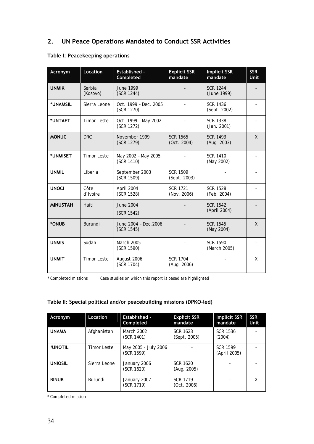# **2. UN Peace Operations Mandated to Conduct SSR Activities**

| Acronym         | <b>Location</b>    | Established -<br>Completed          | <b>Explicit SSR</b><br>mandate  | <b>Implicit SSR</b><br>mandate  | <b>SSR</b><br><b>Unit</b> |
|-----------------|--------------------|-------------------------------------|---------------------------------|---------------------------------|---------------------------|
| <b>UNMIK</b>    | Serbia<br>(Kosovo) | <b>June 1999</b><br>(SCR 1244)      |                                 | <b>SCR 1244</b><br>(June 1999)  |                           |
| *UNAMSIL        | Sierra Leone       | Oct. 1999 - Dec. 2005<br>(SCR 1270) |                                 | <b>SCR 1436</b><br>(Sept. 2002) |                           |
| *UNTAET         | <b>Timor Leste</b> | Oct. 1999 - May 2002<br>(SCR 1272)  |                                 | <b>SCR 1338</b><br>(Jan. 2001)  |                           |
| <b>MONUC</b>    | <b>DRC</b>         | November 1999<br>(SCR 1279)         | <b>SCR 1565</b><br>(Oct. 2004)  | <b>SCR 1493</b><br>(Aug. 2003)  | $\mathsf{X}$              |
| *UNMISET        | <b>Timor Leste</b> | May 2002 - May 2005<br>(SCR 1410)   |                                 | <b>SCR 1410</b><br>(May 2002)   |                           |
| <b>UNMIL</b>    | Liberia            | September 2003<br>(SCR 1509)        | <b>SCR 1509</b><br>(Sept. 2003) |                                 |                           |
| <b>UNOCI</b>    | Côte<br>d'Ivoire   | April 2004<br>(SCR 1528)            | <b>SCR 1721</b><br>(Nov. 2006)  | <b>SCR 1528</b><br>(Feb. 2004)  |                           |
| <b>MINUSTAH</b> | Haiti              | <b>June 2004</b><br>(SCR 1542)      |                                 | <b>SCR 1542</b><br>(April 2004) |                           |
| *ONUB           | Burundi            | June 2004 - Dec. 2006<br>(SCR 1545) |                                 | <b>SCR 1545</b><br>(May 2004)   | X                         |
| <b>UNMIS</b>    | Sudan              | March 2005<br>(SCR 1590)            |                                 | <b>SCR 1590</b><br>(March 2005) |                           |
| <b>UNMIT</b>    | <b>Timor Leste</b> | August 2006<br>(SCR 1704)           | <b>SCR 1704</b><br>(Aug. 2006)  |                                 | X                         |

## **Table I: Peacekeeping operations**

\* Completed missions Case studies on which this report is based are highlighted

## **Table II: Special political and/or peacebuilding missions (DPKO-led)**

| Acronym        | Location     | <b>Established -</b><br>Completed  | <b>Explicit SSR</b><br>mandate | <b>Implicit SSR</b><br>mandate  | <b>SSR</b><br>Unit |
|----------------|--------------|------------------------------------|--------------------------------|---------------------------------|--------------------|
| <b>UNAMA</b>   | Afghanistan  | March 2002<br>(SCR 1401)           | SCR 1623<br>(Sept. 2005)       | <b>SCR 1536</b><br>(2004)       |                    |
| *UNOTIL        | Timor Leste  | May 2005 - July 2006<br>(SCR 1599) |                                | <b>SCR 1599</b><br>(April 2005) |                    |
| <b>UNIOSIL</b> | Sierra Leone | January 2006<br>(SCR 1620)         | SCR 1620<br>(Aug. 2005)        |                                 |                    |
| <b>BINUB</b>   | Burundi      | January 2007<br>(SCR 1719)         | <b>SCR 1719</b><br>(Oct. 2006) |                                 | X                  |

\* Completed mission